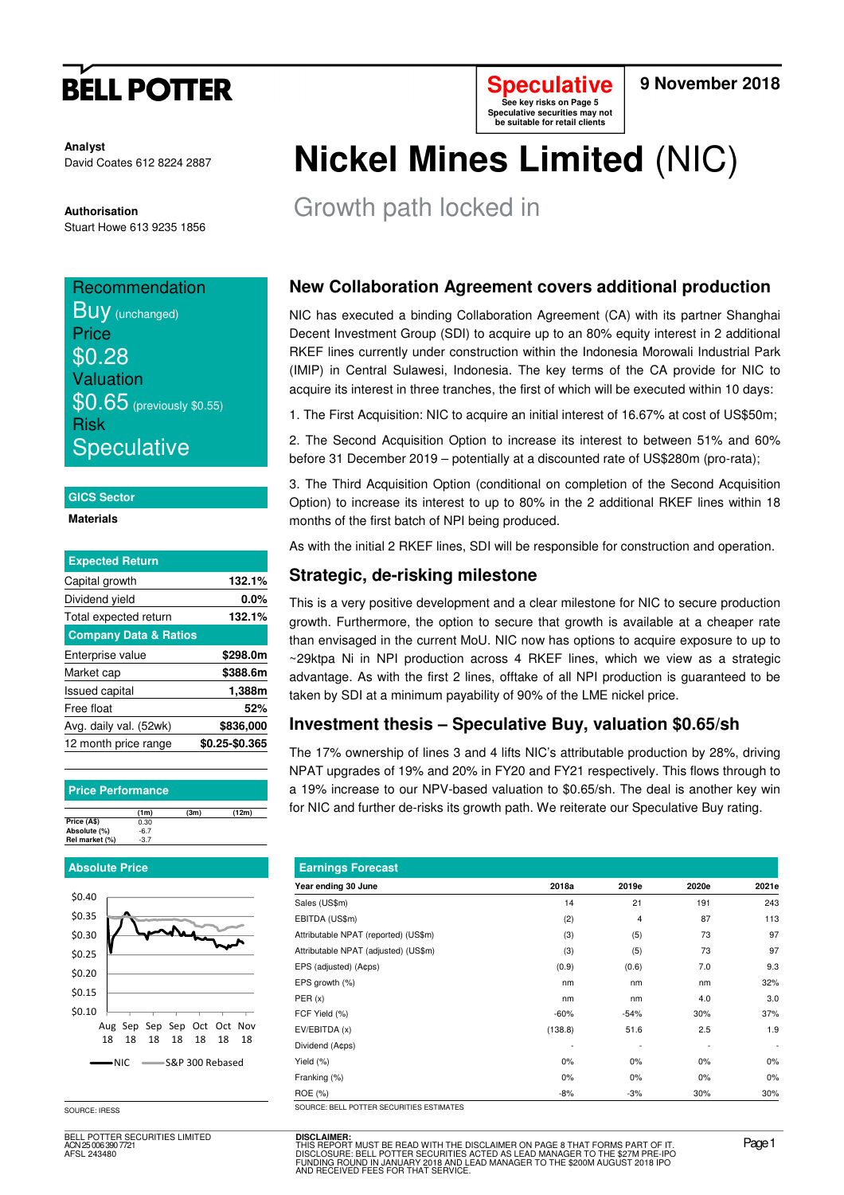# **BELL POTTER**

**Analyst** David Coates 612 8224 2887

**Authorisation**  Stuart Howe 613 9235 1856

## **Recommendation BUV** (unchanged) **Price** \$0.28

Valuation **\$0.65** (previously \$0.55) Risk **Speculative** 

#### **GICS Sector**

**Materials** 

| <b>Expected Return</b>           |                |
|----------------------------------|----------------|
| Capital growth                   | 132.1%         |
| Dividend yield                   | $0.0\%$        |
| Total expected return            | 132.1%         |
| <b>Company Data &amp; Ratios</b> |                |
| Enterprise value                 | \$298.0m       |
| Market cap                       | \$388.6m       |
| <b>Issued capital</b>            | 1,388m         |
| Free float                       | 52%            |
| Avg. daily val. (52wk)           | \$836,000      |
| 12 month price range             | \$0.25-\$0.365 |

#### **Price Performance**

|                | (1m)   | (3m) | (12m) |
|----------------|--------|------|-------|
| Price (A\$)    | 0.30   |      |       |
| Absolute (%)   | $-6.7$ |      |       |
| Rel market (%) | $-3.7$ |      |       |

#### **Absolute Price**



SOURCE: IRESS

BELL POTTER SECURITIES LIMITED ACN 25 006 390 7721 AFSL 243480



#### **9 November 2018**

# **Nickel Mines Limited** (NIC)

Growth path locked in

### **New Collaboration Agreement covers additional production**

NIC has executed a binding Collaboration Agreement (CA) with its partner Shanghai Decent Investment Group (SDI) to acquire up to an 80% equity interest in 2 additional RKEF lines currently under construction within the Indonesia Morowali Industrial Park (IMIP) in Central Sulawesi, Indonesia. The key terms of the CA provide for NIC to acquire its interest in three tranches, the first of which will be executed within 10 days:

1. The First Acquisition: NIC to acquire an initial interest of 16.67% at cost of US\$50m;

2. The Second Acquisition Option to increase its interest to between 51% and 60% before 31 December 2019 – potentially at a discounted rate of US\$280m (pro-rata);

3. The Third Acquisition Option (conditional on completion of the Second Acquisition Option) to increase its interest to up to 80% in the 2 additional RKEF lines within 18 months of the first batch of NPI being produced.

As with the initial 2 RKEF lines, SDI will be responsible for construction and operation.

### **Strategic, de-risking milestone**

This is a very positive development and a clear milestone for NIC to secure production growth. Furthermore, the option to secure that growth is available at a cheaper rate than envisaged in the current MoU. NIC now has options to acquire exposure to up to ~29ktpa Ni in NPI production across 4 RKEF lines, which we view as a strategic advantage. As with the first 2 lines, offtake of all NPI production is guaranteed to be taken by SDI at a minimum payability of 90% of the LME nickel price.

### **Investment thesis – Speculative Buy, valuation \$0.65/sh**

The 17% ownership of lines 3 and 4 lifts NIC's attributable production by 28%, driving NPAT upgrades of 19% and 20% in FY20 and FY21 respectively. This flows through to a 19% increase to our NPV-based valuation to \$0.65/sh. The deal is another key win for NIC and further de-risks its growth path. We reiterate our Speculative Buy rating.

| <b>Earnings Forecast</b>             |         |                |       |                          |  |  |  |
|--------------------------------------|---------|----------------|-------|--------------------------|--|--|--|
| Year ending 30 June                  | 2018a   | 2019e          | 2020e | 2021e                    |  |  |  |
| Sales (US\$m)                        | 14      | 21             | 191   | 243                      |  |  |  |
| EBITDA (US\$m)                       | (2)     | $\overline{4}$ | 87    | 113                      |  |  |  |
| Attributable NPAT (reported) (US\$m) | (3)     | (5)            | 73    | 97                       |  |  |  |
| Attributable NPAT (adjusted) (US\$m) | (3)     | (5)            | 73    | 97                       |  |  |  |
| EPS (adjusted) (A¢ps)                | (0.9)   | (0.6)          | 7.0   | 9.3                      |  |  |  |
| EPS growth (%)                       | nm      | nm             | nm    | 32%                      |  |  |  |
| PER(x)                               | nm      | nm             | 4.0   | 3.0                      |  |  |  |
| FCF Yield (%)                        | $-60%$  | $-54%$         | 30%   | 37%                      |  |  |  |
| EV/EBITDA (x)                        | (138.8) | 51.6           | 2.5   | 1.9                      |  |  |  |
| Dividend (Acps)                      | ٠       |                |       | $\overline{\phantom{a}}$ |  |  |  |
| Yield (%)                            | $0\%$   | 0%             | $0\%$ | $0\%$                    |  |  |  |
| Franking (%)                         | 0%      | 0%             | $0\%$ | 0%                       |  |  |  |
| ROE (%)                              | $-8%$   | $-3%$          | 30%   | 30%                      |  |  |  |

**DISCLAIMER:**<br>THIS REPORT MUST BE READ WITH THE DISCLAIMER ON PAGE 8 THAT FORMS PART OF IT.<br>DISCLOSURE: BELL POTTER SECURITIES ACTED AS LEAD MANAGER TO THE \$27M PRE-IPO<br>FUNDING ROUND IN JANUARY 2018 AND LEAD MANAGER TO THE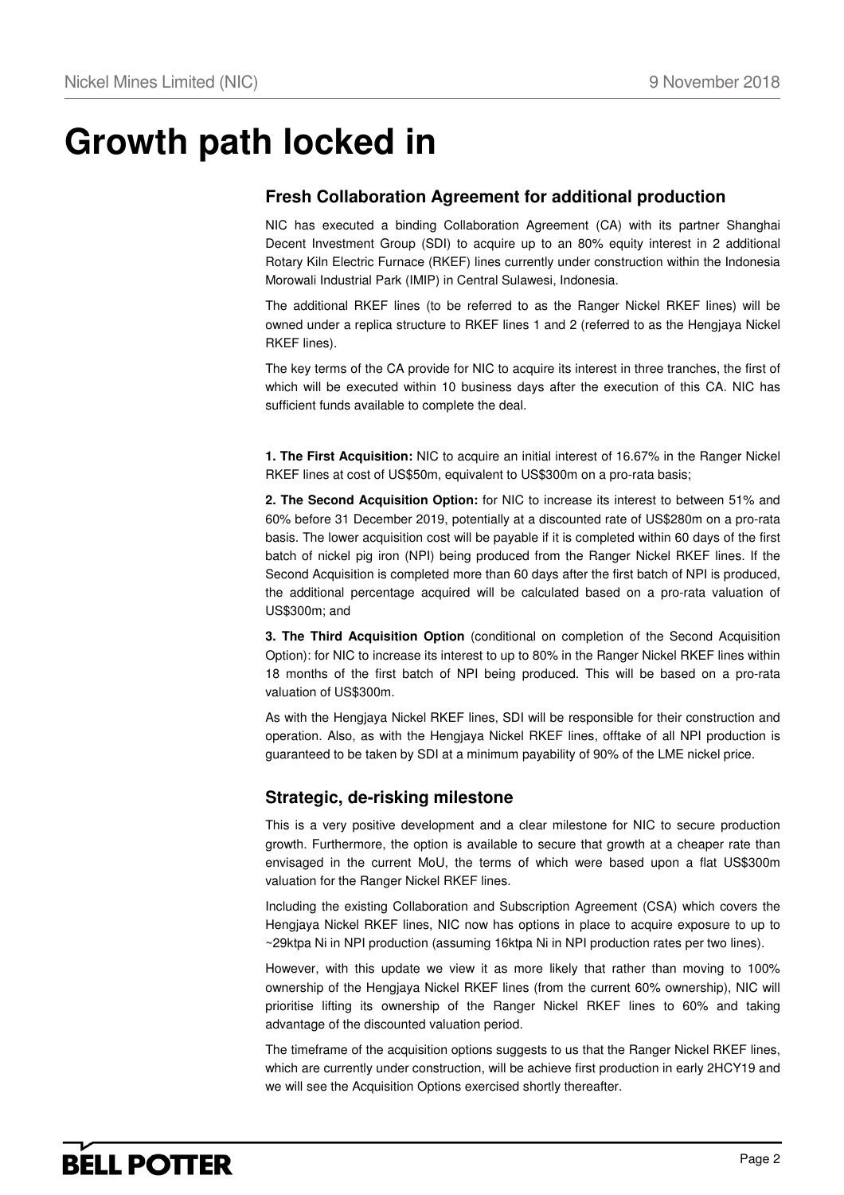## **Growth path locked in**

### **Fresh Collaboration Agreement for additional production**

NIC has executed a binding Collaboration Agreement (CA) with its partner Shanghai Decent Investment Group (SDI) to acquire up to an 80% equity interest in 2 additional Rotary Kiln Electric Furnace (RKEF) lines currently under construction within the Indonesia Morowali Industrial Park (IMIP) in Central Sulawesi, Indonesia.

The additional RKEF lines (to be referred to as the Ranger Nickel RKEF lines) will be owned under a replica structure to RKEF lines 1 and 2 (referred to as the Hengjaya Nickel RKEF lines).

The key terms of the CA provide for NIC to acquire its interest in three tranches, the first of which will be executed within 10 business days after the execution of this CA. NIC has sufficient funds available to complete the deal.

**1. The First Acquisition:** NIC to acquire an initial interest of 16.67% in the Ranger Nickel RKEF lines at cost of US\$50m, equivalent to US\$300m on a pro-rata basis;

**2. The Second Acquisition Option:** for NIC to increase its interest to between 51% and 60% before 31 December 2019, potentially at a discounted rate of US\$280m on a pro-rata basis. The lower acquisition cost will be payable if it is completed within 60 days of the first batch of nickel pig iron (NPI) being produced from the Ranger Nickel RKEF lines. If the Second Acquisition is completed more than 60 days after the first batch of NPI is produced, the additional percentage acquired will be calculated based on a pro-rata valuation of US\$300m; and

**3. The Third Acquisition Option** (conditional on completion of the Second Acquisition Option): for NIC to increase its interest to up to 80% in the Ranger Nickel RKEF lines within 18 months of the first batch of NPI being produced. This will be based on a pro-rata valuation of US\$300m.

As with the Hengjaya Nickel RKEF lines, SDI will be responsible for their construction and operation. Also, as with the Hengjaya Nickel RKEF lines, offtake of all NPI production is guaranteed to be taken by SDI at a minimum payability of 90% of the LME nickel price.

### **Strategic, de-risking milestone**

This is a very positive development and a clear milestone for NIC to secure production growth. Furthermore, the option is available to secure that growth at a cheaper rate than envisaged in the current MoU, the terms of which were based upon a flat US\$300m valuation for the Ranger Nickel RKEF lines.

Including the existing Collaboration and Subscription Agreement (CSA) which covers the Hengjaya Nickel RKEF lines, NIC now has options in place to acquire exposure to up to ~29ktpa Ni in NPI production (assuming 16ktpa Ni in NPI production rates per two lines).

However, with this update we view it as more likely that rather than moving to 100% ownership of the Hengjaya Nickel RKEF lines (from the current 60% ownership), NIC will prioritise lifting its ownership of the Ranger Nickel RKEF lines to 60% and taking advantage of the discounted valuation period.

The timeframe of the acquisition options suggests to us that the Ranger Nickel RKEF lines, which are currently under construction, will be achieve first production in early 2HCY19 and we will see the Acquisition Options exercised shortly thereafter.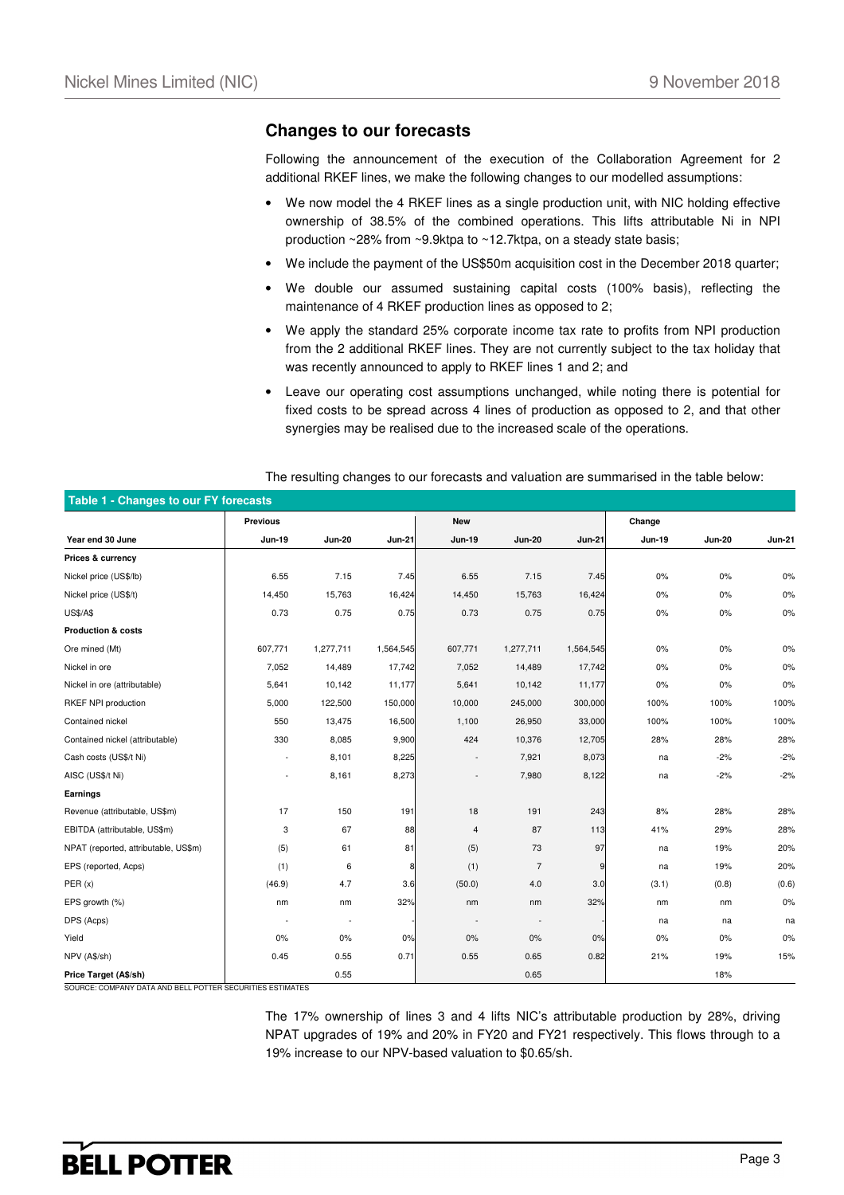#### **Changes to our forecasts**

Following the announcement of the execution of the Collaboration Agreement for 2 additional RKEF lines, we make the following changes to our modelled assumptions:

- We now model the 4 RKEF lines as a single production unit, with NIC holding effective ownership of 38.5% of the combined operations. This lifts attributable Ni in NPI production ~28% from ~9.9ktpa to ~12.7ktpa, on a steady state basis;
- We include the payment of the US\$50m acquisition cost in the December 2018 quarter;
- We double our assumed sustaining capital costs (100% basis), reflecting the maintenance of 4 RKEF production lines as opposed to 2;
- We apply the standard 25% corporate income tax rate to profits from NPI production from the 2 additional RKEF lines. They are not currently subject to the tax holiday that was recently announced to apply to RKEF lines 1 and 2; and
- Leave our operating cost assumptions unchanged, while noting there is potential for fixed costs to be spread across 4 lines of production as opposed to 2, and that other synergies may be realised due to the increased scale of the operations.

| Table 1 - Changes to our FY forecasts |                          |                          |               |               |                |               |        |               |               |
|---------------------------------------|--------------------------|--------------------------|---------------|---------------|----------------|---------------|--------|---------------|---------------|
|                                       | <b>Previous</b>          |                          |               | <b>New</b>    |                |               | Change |               |               |
| Year end 30 June                      | Jun-19                   | <b>Jun-20</b>            | <b>Jun-21</b> | <b>Jun-19</b> | <b>Jun-20</b>  | <b>Jun-21</b> | Jun-19 | <b>Jun-20</b> | <b>Jun-21</b> |
| Prices & currency                     |                          |                          |               |               |                |               |        |               |               |
| Nickel price (US\$/lb)                | 6.55                     | 7.15                     | 7.45          | 6.55          | 7.15           | 7.45          | 0%     | 0%            | 0%            |
| Nickel price (US\$/t)                 | 14,450                   | 15,763                   | 16,424        | 14,450        | 15,763         | 16,424        | 0%     | 0%            | 0%            |
| <b>US\$/A\$</b>                       | 0.73                     | 0.75                     | 0.75          | 0.73          | 0.75           | 0.75          | $0\%$  | 0%            | 0%            |
| <b>Production &amp; costs</b>         |                          |                          |               |               |                |               |        |               |               |
| Ore mined (Mt)                        | 607,771                  | 1,277,711                | 1,564,545     | 607,771       | 1,277,711      | 1,564,545     | $0\%$  | 0%            | 0%            |
| Nickel in ore                         | 7,052                    | 14,489                   | 17,742        | 7,052         | 14,489         | 17,742        | $0\%$  | $0\%$         | $0\%$         |
| Nickel in ore (attributable)          | 5,641                    | 10,142                   | 11,177        | 5,641         | 10,142         | 11,177        | 0%     | 0%            | 0%            |
| RKEF NPI production                   | 5,000                    | 122,500                  | 150,000       | 10,000        | 245,000        | 300,000       | 100%   | 100%          | 100%          |
| Contained nickel                      | 550                      | 13,475                   | 16,500        | 1,100         | 26,950         | 33,000        | 100%   | 100%          | 100%          |
| Contained nickel (attributable)       | 330                      | 8,085                    | 9,900         | 424           | 10,376         | 12,705        | 28%    | 28%           | 28%           |
| Cash costs (US\$/t Ni)                | $\overline{\phantom{a}}$ | 8,101                    | 8,225         |               | 7,921          | 8,073         | na     | $-2%$         | $-2%$         |
| AISC (US\$/t Ni)                      | $\overline{\phantom{a}}$ | 8,161                    | 8,273         |               | 7,980          | 8,122         | na     | $-2%$         | $-2%$         |
| Earnings                              |                          |                          |               |               |                |               |        |               |               |
| Revenue (attributable, US\$m)         | 17                       | 150                      | 191           | 18            | 191            | 243           | 8%     | 28%           | 28%           |
| EBITDA (attributable, US\$m)          | 3                        | 67                       | 88            | 4             | 87             | 113           | 41%    | 29%           | 28%           |
| NPAT (reported, attributable, US\$m)  | (5)                      | 61                       | 81            | (5)           | 73             | 97            | na     | 19%           | 20%           |
| EPS (reported, Acps)                  | (1)                      | 6                        |               | (1)           | $\overline{7}$ | 9             | na     | 19%           | 20%           |
| PER(x)                                | (46.9)                   | 4.7                      | 3.6           | (50.0)        | 4.0            | 3.0           | (3.1)  | (0.8)         | (0.6)         |
| EPS growth (%)                        | nm                       | nm                       | 32%           | nm            | nm             | 32%           | nm     | nm            | 0%            |
| DPS (Acps)                            |                          | $\overline{\phantom{a}}$ |               |               |                |               | na     | na            | na            |
| Yield                                 | 0%                       | 0%                       | 0%            | $0\%$         | 0%             | 0%            | 0%     | 0%            | $0\%$         |
| NPV (A\$/sh)                          | 0.45                     | 0.55                     | 0.71          | 0.55          | 0.65           | 0.82          | 21%    | 19%           | 15%           |
| Price Target (A\$/sh)                 |                          | 0.55                     |               |               | 0.65           |               |        | 18%           |               |

#### The resulting changes to our forecasts and valuation are summarised in the table below:

SOURCE: COMPANY DATA AND BELL POTTER SECURITIES ESTIMATES

The 17% ownership of lines 3 and 4 lifts NIC's attributable production by 28%, driving NPAT upgrades of 19% and 20% in FY20 and FY21 respectively. This flows through to a 19% increase to our NPV-based valuation to \$0.65/sh.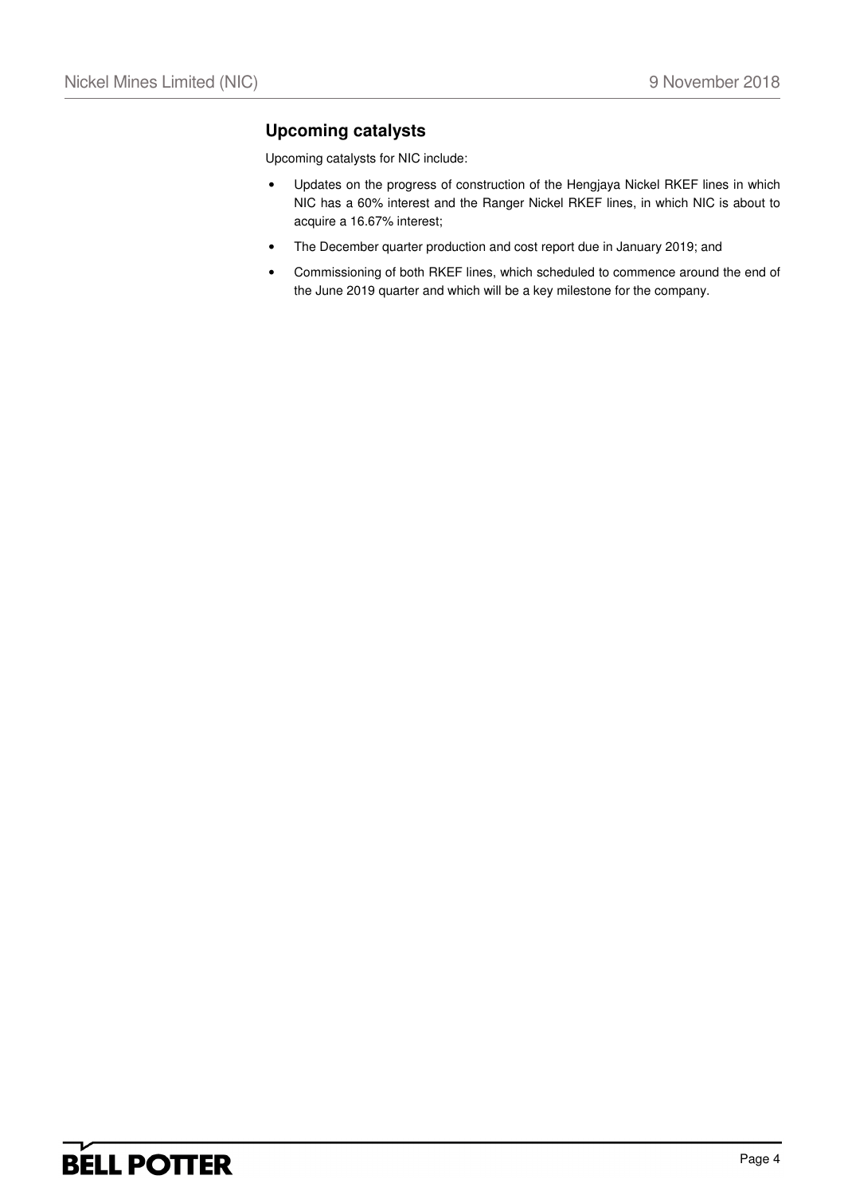## **Upcoming catalysts**

Upcoming catalysts for NIC include:

- Updates on the progress of construction of the Hengjaya Nickel RKEF lines in which NIC has a 60% interest and the Ranger Nickel RKEF lines, in which NIC is about to acquire a 16.67% interest;
- The December quarter production and cost report due in January 2019; and
- Commissioning of both RKEF lines, which scheduled to commence around the end of the June 2019 quarter and which will be a key milestone for the company.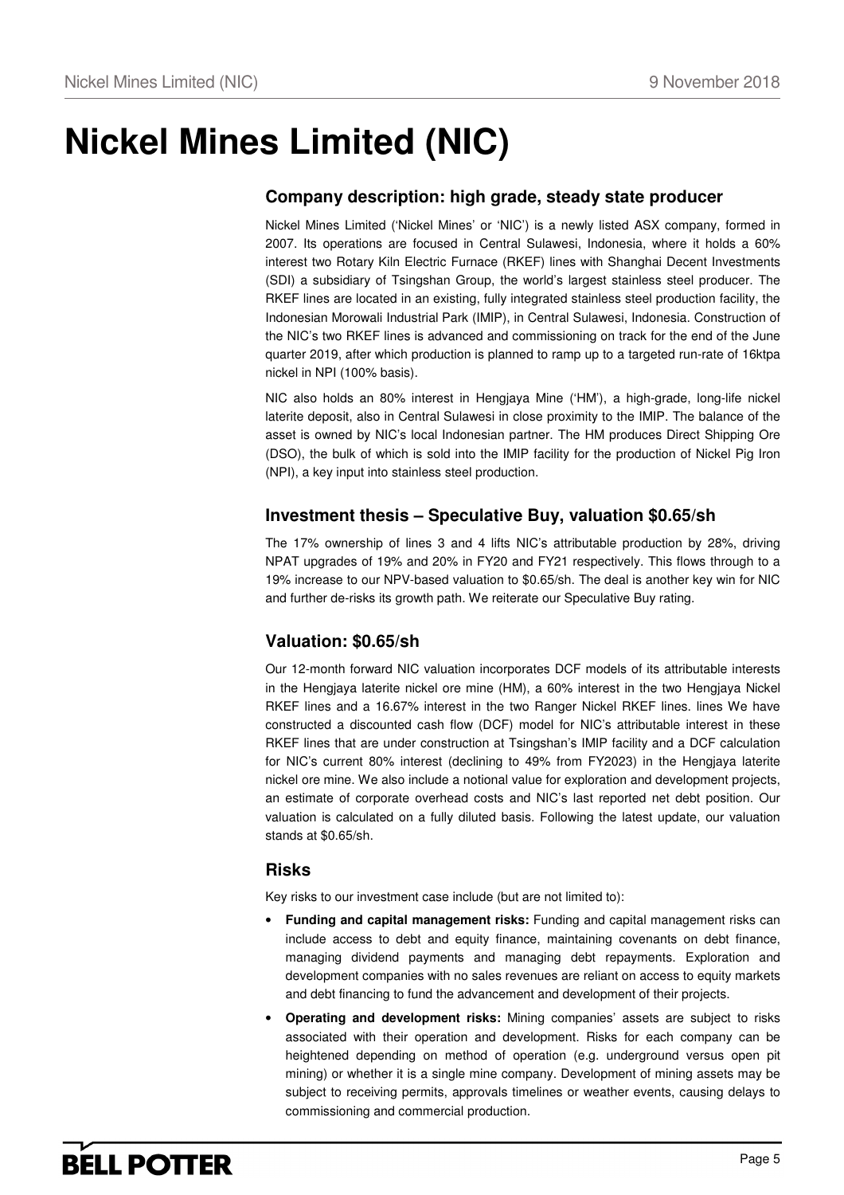## **Nickel Mines Limited (NIC)**

### **Company description: high grade, steady state producer**

Nickel Mines Limited ('Nickel Mines' or 'NIC') is a newly listed ASX company, formed in 2007. Its operations are focused in Central Sulawesi, Indonesia, where it holds a 60% interest two Rotary Kiln Electric Furnace (RKEF) lines with Shanghai Decent Investments (SDI) a subsidiary of Tsingshan Group, the world's largest stainless steel producer. The RKEF lines are located in an existing, fully integrated stainless steel production facility, the Indonesian Morowali Industrial Park (IMIP), in Central Sulawesi, Indonesia. Construction of the NIC's two RKEF lines is advanced and commissioning on track for the end of the June quarter 2019, after which production is planned to ramp up to a targeted run-rate of 16ktpa nickel in NPI (100% basis).

NIC also holds an 80% interest in Hengjaya Mine ('HM'), a high-grade, long-life nickel laterite deposit, also in Central Sulawesi in close proximity to the IMIP. The balance of the asset is owned by NIC's local Indonesian partner. The HM produces Direct Shipping Ore (DSO), the bulk of which is sold into the IMIP facility for the production of Nickel Pig Iron (NPI), a key input into stainless steel production.

### **Investment thesis – Speculative Buy, valuation \$0.65/sh**

The 17% ownership of lines 3 and 4 lifts NIC's attributable production by 28%, driving NPAT upgrades of 19% and 20% in FY20 and FY21 respectively. This flows through to a 19% increase to our NPV-based valuation to \$0.65/sh. The deal is another key win for NIC and further de-risks its growth path. We reiterate our Speculative Buy rating.

### **Valuation: \$0.65/sh**

Our 12-month forward NIC valuation incorporates DCF models of its attributable interests in the Hengjaya laterite nickel ore mine (HM), a 60% interest in the two Hengjaya Nickel RKEF lines and a 16.67% interest in the two Ranger Nickel RKEF lines. lines We have constructed a discounted cash flow (DCF) model for NIC's attributable interest in these RKEF lines that are under construction at Tsingshan's IMIP facility and a DCF calculation for NIC's current 80% interest (declining to 49% from FY2023) in the Hengjaya laterite nickel ore mine. We also include a notional value for exploration and development projects, an estimate of corporate overhead costs and NIC's last reported net debt position. Our valuation is calculated on a fully diluted basis. Following the latest update, our valuation stands at \$0.65/sh.

### **Risks**

Key risks to our investment case include (but are not limited to):

- **Funding and capital management risks:** Funding and capital management risks can include access to debt and equity finance, maintaining covenants on debt finance, managing dividend payments and managing debt repayments. Exploration and development companies with no sales revenues are reliant on access to equity markets and debt financing to fund the advancement and development of their projects.
- **Operating and development risks:** Mining companies' assets are subject to risks associated with their operation and development. Risks for each company can be heightened depending on method of operation (e.g. underground versus open pit mining) or whether it is a single mine company. Development of mining assets may be subject to receiving permits, approvals timelines or weather events, causing delays to commissioning and commercial production.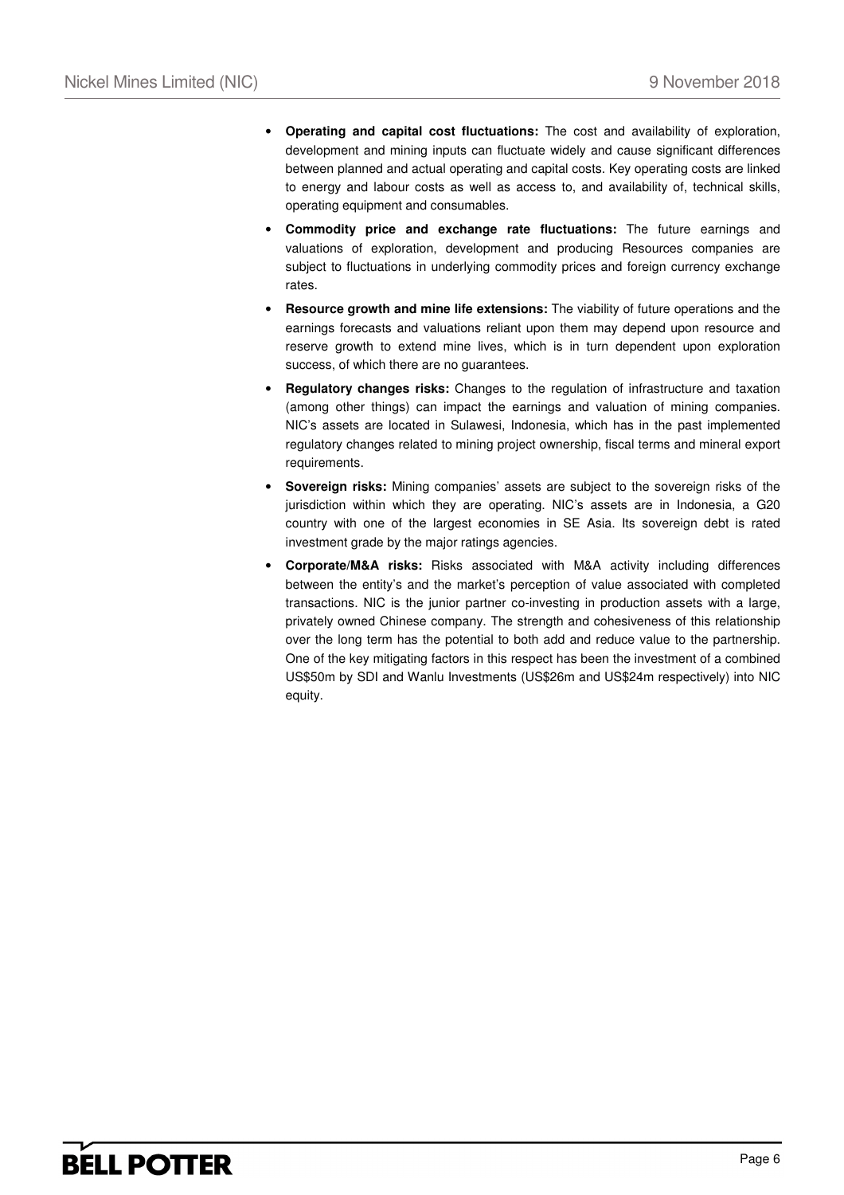- **Operating and capital cost fluctuations:** The cost and availability of exploration, development and mining inputs can fluctuate widely and cause significant differences between planned and actual operating and capital costs. Key operating costs are linked to energy and labour costs as well as access to, and availability of, technical skills, operating equipment and consumables.
- **Commodity price and exchange rate fluctuations:** The future earnings and valuations of exploration, development and producing Resources companies are subject to fluctuations in underlying commodity prices and foreign currency exchange rates.
- **Resource growth and mine life extensions:** The viability of future operations and the earnings forecasts and valuations reliant upon them may depend upon resource and reserve growth to extend mine lives, which is in turn dependent upon exploration success, of which there are no guarantees.
- **Regulatory changes risks:** Changes to the regulation of infrastructure and taxation (among other things) can impact the earnings and valuation of mining companies. NIC's assets are located in Sulawesi, Indonesia, which has in the past implemented regulatory changes related to mining project ownership, fiscal terms and mineral export requirements.
- **Sovereign risks:** Mining companies' assets are subject to the sovereign risks of the jurisdiction within which they are operating. NIC's assets are in Indonesia, a G20 country with one of the largest economies in SE Asia. Its sovereign debt is rated investment grade by the major ratings agencies.
- **Corporate/M&A risks:** Risks associated with M&A activity including differences between the entity's and the market's perception of value associated with completed transactions. NIC is the junior partner co-investing in production assets with a large, privately owned Chinese company. The strength and cohesiveness of this relationship over the long term has the potential to both add and reduce value to the partnership. One of the key mitigating factors in this respect has been the investment of a combined US\$50m by SDI and Wanlu Investments (US\$26m and US\$24m respectively) into NIC equity.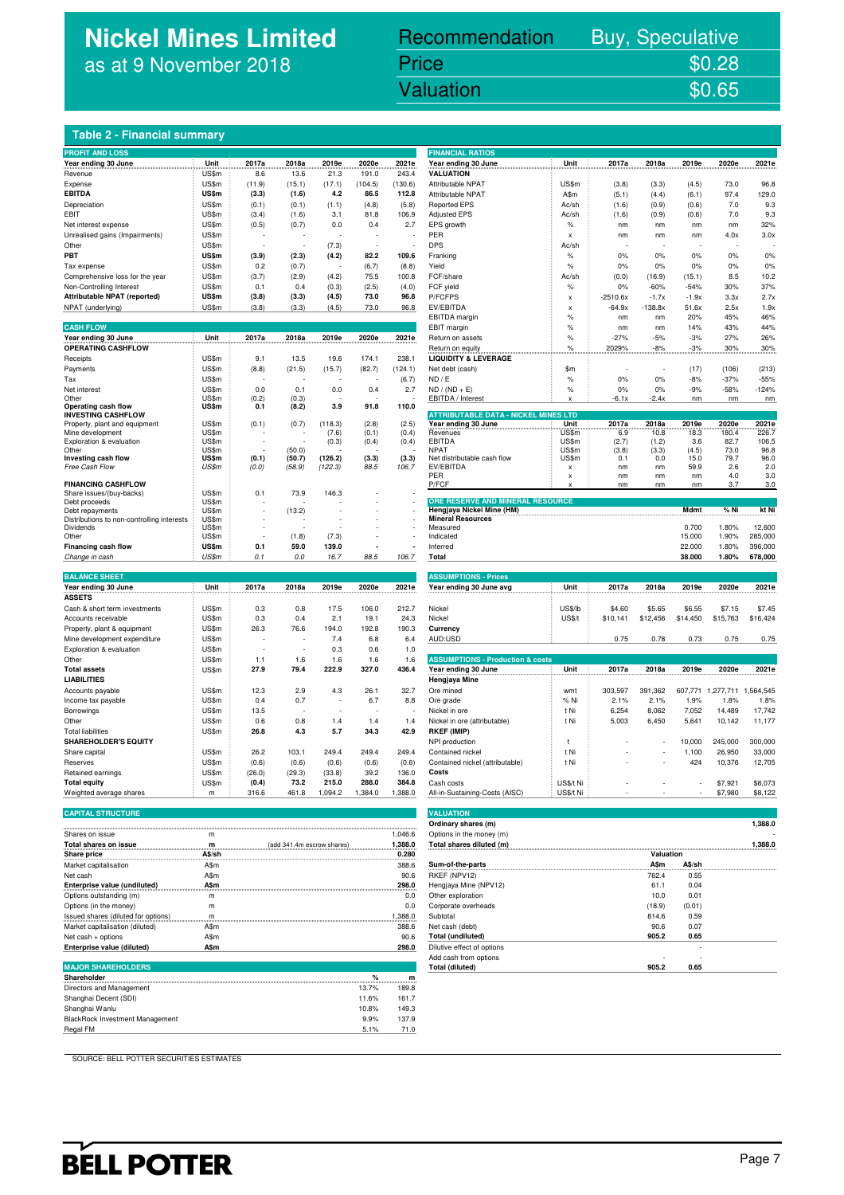## **Nickel Mines Limited** as at 9 November 2018

## Recommendation Buy, Speculative

Nickel Mines Limited (Nickel Mines Limited (Nickel Mines Limited Control Mines Limited Control Mines Limited C Price \$0.28<br>Valuation \$0.65

#### **Table 2 - Financial summary**

| Year ending 30 June<br>Unit<br>2017a<br>2018a<br>2019e<br>2020e<br>2021e<br>Unit<br>2017a<br>2018a<br>2019e<br>2020e<br>2021e<br>Year ending 30 June<br><b>VALUATION</b><br>US\$m<br>8.6<br>13.6<br>21.3<br>191.0<br>243.4<br>Revenue<br>US\$m<br>(104.5)<br>US\$m<br>73.0<br>(11.9)<br>(15.1)<br>(17.1)<br>(130.6)<br>Attributable NPAT<br>(3.8)<br>(3.3)<br>(4.5)<br>96.8<br>Expense<br><b>EBITDA</b><br>US\$m<br>(3.3)<br>4.2<br>86.5<br>112.8<br>Attributable NPAT<br>A\$m<br>(5.1)<br>(6.1)<br>97.4<br>129.0<br>(1.6)<br>(4.4)<br>7.0<br>9.3<br>Depreciation<br>US\$m<br>(0.1)<br>(0.1)<br>(1.1)<br>(4.8)<br>(5.8)<br><b>Reported EPS</b><br>Ac/sh<br>(1.6)<br>(0.9)<br>(0.6)<br>US\$m<br>106.9<br>7.0<br>9.3<br>EBIT<br>(3.4)<br>(1.6)<br>3.1<br>81.8<br><b>Adjusted EPS</b><br>Ac/sh<br>(0.9)<br>(0.6)<br>(1.6)<br>US\$m<br>(0.5)<br>0.0<br>2.7<br>EPS growth<br>$\%$<br>32%<br>Net interest expense<br>(0.7)<br>0.4<br>nm<br>nm<br>nm<br>nm<br>3.0x<br>Unrealised gains (Impairments)<br>US\$m<br>PER<br>4.0x<br>X<br>nm<br>nm<br>nm<br>US\$m<br><b>DPS</b><br>Other<br>(7.3)<br>Ac/sh<br>٠<br>PBT<br>US\$m<br>(3.9)<br>(2.3)<br>(4.2)<br>82.2<br>109.6<br>$\%$<br>0%<br>0%<br>0%<br>0%<br>Franking<br>0%<br>US\$m<br>0%<br>0.2<br>(0.7)<br>(6.7)<br>(8.8)<br>Yield<br>$\%$<br>0%<br>0%<br>0%<br>0%<br>Tax expense<br>US\$m<br>75.5<br>FCF/share<br>8.5<br>10.2<br>(3.7)<br>(2.9)<br>(4.2)<br>100.8<br>Ac/sh<br>(0.0)<br>(16.9)<br>(15.1)<br>Comprehensive loss for the year<br>Non-Controlling Interest<br>US\$m<br>(2.5)<br>(4.0)<br>FCF yield<br>$\%$<br>0%<br>$-60%$<br>$-54%$<br>30%<br>37%<br>0.1<br>0.4<br>(0.3)<br>US\$m<br>73.0<br>96.8<br>P/FCFPS<br>2.7x<br>Attributable NPAT (reported)<br>(3.8)<br>(3.3)<br>(4.5)<br>$-2510.6x$<br>$-1.7x$<br>$-1.9x$<br>3.3x<br>X<br>US\$m<br>73.0<br>EV/EBITDA<br>$-138.8x$<br>NPAT (underlying)<br>(3.8)<br>(3.3)<br>(4.5)<br>96.8<br>$-64.9x$<br>51.6x<br>2.5x<br>1.9x<br>X<br><b>EBITDA</b> margin<br>$\%$<br>20%<br>45%<br>46%<br>nm<br>nm<br><b>CASH FLOW</b><br>43%<br>44%<br>EBIT margin<br>$\%$<br>14%<br>nm<br>nm<br>Unit<br>2017a<br>2018a<br>2020e<br>2021e<br>Year ending 30 June<br>2019e<br>$\frac{9}{6}$<br>$-27%$<br>$-5%$<br>$-3%$<br>27%<br>26%<br>Return on assets<br><b>OPERATING CASHFLOW</b><br>2029%<br>$-8%$<br>$-3%$<br>30%<br>30%<br>Return on equity<br>℅<br>US\$m<br>19.6<br>238.1<br><b>LIQUIDITY &amp; LEVERAGE</b><br>9.1<br>13.5<br>174.1<br>Receipts<br>US\$m<br>(213)<br>Payments<br>(8.8)<br>(21.5)<br>(15.7)<br>(82.7)<br>(124.1)<br>Net debt (cash)<br>\$m<br>(17)<br>(106)<br>US\$m<br>(6.7)<br>ND / E<br>$\%$<br>0%<br>0%<br>$-8%$<br>$-37%$<br>$-55%$<br>Tax<br>US\$m<br>0.0<br>2.7<br>0%<br>0%<br>$-9%$<br>$-58%$<br>$-124%$<br>0.1<br>0.0<br>0.4<br>$ND / (ND + E)$<br>$\%$<br>Net interest<br>US\$m<br>(0.2)<br>EBITDA / Interest<br>$-2.4x$<br>Other<br>(0.3)<br>$-6.1x$<br>nm<br>nm<br>nm<br>x<br>Operating cash flow<br>US\$m<br>0.1<br>(8.2)<br>3.9<br>91.8<br>110.0<br><b>ATTRIBUTABLE DATA - NICKEL MINES LTD</b><br><b>INVESTING CASHFLOW</b><br>2021e<br>US\$m<br>(0.1)<br>(0.7)<br>(118.3)<br>(2.8)<br>(2.5)<br>Year ending 30 June<br>Unit<br>2017a<br>2018a<br>2019e<br>2020e<br>Property, plant and equipment<br>Mine development<br>US\$m<br>(7.6)<br>(0.1)<br>(0.4)<br>Revenues<br>US\$m<br>6.9<br>10.8<br>18.3<br>180.4<br>226.7<br>US\$m<br>(0.4)<br><b>EBITDA</b><br>US\$m<br>(2.7)<br>3.6<br>82.7<br>106.5<br>Exploration & evaluation<br>(0.3)<br>(0.4)<br>(1.2)<br>US\$m<br><b>NPAT</b><br>US\$m<br>73.0<br>Other<br>(50.0)<br>(3.8)<br>(3.3)<br>(4.5)<br>96.8<br>(0.1)<br>(126.2)<br>Investing cash flow<br>US\$m<br>(50.7)<br>(3.3)<br>(3.3)<br>Net distributable cash flow<br>US\$m<br>0.1<br>0.0<br>15.0<br>79.7<br>96.0<br>Free Cash Flow<br>US\$m<br>(0.0)<br>(58.9)<br>(122.3)<br>88.5<br>106.7<br>EV/EBITDA<br>59.9<br>2.6<br>2.0<br>nm<br>nm<br>x<br>PER<br>nm<br>nm<br>nm<br>4.0<br>3.0<br>X<br><b>FINANCING CASHFLOW</b><br>P/FCF<br>3.0<br>nm<br>nm<br>nm<br>3.7<br>US\$m<br>73.9<br>146.3<br>Share issues/(buy-backs)<br>0.1<br>ORE RESERVE AND MINERAL RESOURCE<br>US\$m<br>Debt proceeds<br>US\$m<br>(13.2)<br>% Ni<br>kt Ni<br>Hengjaya Nickel Mine (HM)<br>Mdmt<br>Debt repayments<br><b>Mineral Resources</b><br>Distributions to non-controlling interests<br>US\$m<br>Measured<br>0.700<br>1.80%<br>12,600<br>US\$m<br><b>Dividends</b><br>US\$m<br>(1.8)<br>(7.3)<br>Indicated<br>15.000<br>1.90%<br>285,000<br>Other<br>US\$m<br>Financing cash flow<br>0.1<br>59.0<br>139.0<br>Inferred<br>22.000<br>1.80%<br>396,000<br>US\$m<br>0.1<br>38.000<br>1.80%<br>678,000<br>Change in cash<br>$0.0\,$<br>16.7<br>88.5<br>106.7<br><b>Total</b><br><b>BALANCE SHEET</b><br><b>ASSUMPTIONS - Prices</b><br>Unit<br>2017a<br>2018a<br>2019e<br>2020e<br>2021e<br>Year ending 30 June avg<br>Unit<br>2017a<br>2018a<br>2019e<br>2020e<br>2021e<br>Year ending 30 June<br><b>ASSETS</b><br>US\$m<br>106.0<br>212.7<br>Nickel<br><b>US\$/lb</b><br>Cash & short term investments<br>0.3<br>0.8<br>17.5<br>\$4.60<br>\$5.65<br>\$6.55<br>\$7.15<br>\$7.45<br><b>US\$/t</b><br>US\$m<br>0.3<br>2.1<br>\$12,456<br>\$14,450<br>\$15,763<br>\$16,424<br>0.4<br>19.1<br>24.3<br>Nickel<br>\$10,141<br>Accounts receivable<br>Property, plant & equipment<br>US\$m<br>26.3<br>76.6<br>194.0<br>192.8<br>190.3<br>Currency<br>AUD:USD<br>0.75<br>0.75<br>0.75<br>Mine development expenditure<br>US\$m<br>7.4<br>6.8<br>6.4<br>0.78<br>0.73<br>US\$m<br>0.3<br>0.6<br>Exploration & evaluation<br>1.0<br><b>ASSUMPTIONS - Production &amp; costs</b><br>Other<br>US\$m<br>1.1<br>1.6<br>1.6<br>1.6<br>1.6<br>222.9<br>327.0<br>436.4<br>2017a<br>2020e<br>2021e<br><b>Total assets</b><br>US\$m<br>27.9<br>79.4<br>Year ending 30 June<br>Unit<br>2018a<br>2019e<br><b>LIABILITIES</b><br>Hengjaya Mine<br>Accounts payable<br>US\$m<br>12.3<br>2.9<br>4.3<br>26.1<br>32.7<br>Ore mined<br>303,597<br>391,362<br>607,771<br>1,277,711<br>1.564.545<br>wmt<br>1.9%<br>1.8%<br>Income tax payable<br>US\$m<br>0.4<br>0.7<br>6.7<br>8.8<br>Ore grade<br>% Ni<br>2.1%<br>2.1%<br>1.8%<br>÷<br>US\$m<br>13.5<br>7,052<br>14,489<br>17,742<br>t Ni<br>6,254<br>8,062<br>Borrowings<br>Nickel in ore<br>Other<br>US\$m<br>0.6<br>0.8<br>1.4<br>1.4<br>1.4<br>Nickel in ore (attributable)<br>t Ni<br>5,003<br>6.450<br>5,641<br>10,142<br>11,177<br>5.7<br>42.9<br><b>Total liabilities</b><br>US\$m<br>26.8<br>4.3<br>34.3<br><b>RKEF (IMIP)</b><br><b>SHAREHOLDER'S EQUITY</b><br>10,000<br>245,000<br>300,000<br>NPI production<br>$\mathsf{t}$<br>Share capital<br>US\$m<br>26.2<br>103.1<br>249.4<br>249.4<br>249.4<br>Contained nickel<br>t Ni<br>1.100<br>26,950<br>33,000 |
|-------------------------------------------------------------------------------------------------------------------------------------------------------------------------------------------------------------------------------------------------------------------------------------------------------------------------------------------------------------------------------------------------------------------------------------------------------------------------------------------------------------------------------------------------------------------------------------------------------------------------------------------------------------------------------------------------------------------------------------------------------------------------------------------------------------------------------------------------------------------------------------------------------------------------------------------------------------------------------------------------------------------------------------------------------------------------------------------------------------------------------------------------------------------------------------------------------------------------------------------------------------------------------------------------------------------------------------------------------------------------------------------------------------------------------------------------------------------------------------------------------------------------------------------------------------------------------------------------------------------------------------------------------------------------------------------------------------------------------------------------------------------------------------------------------------------------------------------------------------------------------------------------------------------------------------------------------------------------------------------------------------------------------------------------------------------------------------------------------------------------------------------------------------------------------------------------------------------------------------------------------------------------------------------------------------------------------------------------------------------------------------------------------------------------------------------------------------------------------------------------------------------------------------------------------------------------------------------------------------------------------------------------------------------------------------------------------------------------------------------------------------------------------------------------------------------------------------------------------------------------------------------------------------------------------------------------------------------------------------------------------------------------------------------------------------------------------------------------------------------------------------------------------------------------------------------------------------------------------------------------------------------------------------------------------------------------------------------------------------------------------------------------------------------------------------------------------------------------------------------------------------------------------------------------------------------------------------------------------------------------------------------------------------------------------------------------------------------------------------------------------------------------------------------------------------------------------------------------------------------------------------------------------------------------------------------------------------------------------------------------------------------------------------------------------------------------------------------------------------------------------------------------------------------------------------------------------------------------------------------------------------------------------------------------------------------------------------------------------------------------------------------------------------------------------------------------------------------------------------------------------------------------------------------------------------------------------------------------------------------------------------------------------------------------------------------------------------------------------------------------------------------------------------------------------------------------------------------------------------------------------------------------------------------------------------------------------------------------------------------------------------------------------------------------------------------------------------------------------------------------------------------------------------------------------------------------------------------------------------------------------------------------------------------------------------------------------------------------------------------------------------------------------------------------------------------------------------------------------------------------------------------------------------------------------------------------------------------------------------------------------------------------------------------------------------------------------------------------------------------------------------------------------------------------------------------------------------------------------------------------------------------------------------------------------------------------------------------------------------------------------------------------------------------------------------------------------------------------------------------------------------------------------------------------------------------------------------------------------------------------------------------------------------------------------------------------------------------------------------------------------------------------------------------------------------------------------------------------------------------------------------------------------------------------------------------------------------------------------------------------------------------------------------------------------------------------------|
|                                                                                                                                                                                                                                                                                                                                                                                                                                                                                                                                                                                                                                                                                                                                                                                                                                                                                                                                                                                                                                                                                                                                                                                                                                                                                                                                                                                                                                                                                                                                                                                                                                                                                                                                                                                                                                                                                                                                                                                                                                                                                                                                                                                                                                                                                                                                                                                                                                                                                                                                                                                                                                                                                                                                                                                                                                                                                                                                                                                                                                                                                                                                                                                                                                                                                                                                                                                                                                                                                                                                                                                                                                                                                                                                                                                                                                                                                                                                                                                                                                                                                                                                                                                                                                                                                                                                                                                                                                                                                                                                                                                                                                                                                                                                                                                                                                                                                                                                                                                                                                                                                                                                                                                                                                                                                                                                                                                                                                                                                                                                                                                                                                                                                                                                                                                                                                                                                                                                                                                                                                                                                                                                                                                                                                                                                                                                                                                                                                                                                                                                                                                                                                                                                                       |
|                                                                                                                                                                                                                                                                                                                                                                                                                                                                                                                                                                                                                                                                                                                                                                                                                                                                                                                                                                                                                                                                                                                                                                                                                                                                                                                                                                                                                                                                                                                                                                                                                                                                                                                                                                                                                                                                                                                                                                                                                                                                                                                                                                                                                                                                                                                                                                                                                                                                                                                                                                                                                                                                                                                                                                                                                                                                                                                                                                                                                                                                                                                                                                                                                                                                                                                                                                                                                                                                                                                                                                                                                                                                                                                                                                                                                                                                                                                                                                                                                                                                                                                                                                                                                                                                                                                                                                                                                                                                                                                                                                                                                                                                                                                                                                                                                                                                                                                                                                                                                                                                                                                                                                                                                                                                                                                                                                                                                                                                                                                                                                                                                                                                                                                                                                                                                                                                                                                                                                                                                                                                                                                                                                                                                                                                                                                                                                                                                                                                                                                                                                                                                                                                                                       |
|                                                                                                                                                                                                                                                                                                                                                                                                                                                                                                                                                                                                                                                                                                                                                                                                                                                                                                                                                                                                                                                                                                                                                                                                                                                                                                                                                                                                                                                                                                                                                                                                                                                                                                                                                                                                                                                                                                                                                                                                                                                                                                                                                                                                                                                                                                                                                                                                                                                                                                                                                                                                                                                                                                                                                                                                                                                                                                                                                                                                                                                                                                                                                                                                                                                                                                                                                                                                                                                                                                                                                                                                                                                                                                                                                                                                                                                                                                                                                                                                                                                                                                                                                                                                                                                                                                                                                                                                                                                                                                                                                                                                                                                                                                                                                                                                                                                                                                                                                                                                                                                                                                                                                                                                                                                                                                                                                                                                                                                                                                                                                                                                                                                                                                                                                                                                                                                                                                                                                                                                                                                                                                                                                                                                                                                                                                                                                                                                                                                                                                                                                                                                                                                                                                       |
|                                                                                                                                                                                                                                                                                                                                                                                                                                                                                                                                                                                                                                                                                                                                                                                                                                                                                                                                                                                                                                                                                                                                                                                                                                                                                                                                                                                                                                                                                                                                                                                                                                                                                                                                                                                                                                                                                                                                                                                                                                                                                                                                                                                                                                                                                                                                                                                                                                                                                                                                                                                                                                                                                                                                                                                                                                                                                                                                                                                                                                                                                                                                                                                                                                                                                                                                                                                                                                                                                                                                                                                                                                                                                                                                                                                                                                                                                                                                                                                                                                                                                                                                                                                                                                                                                                                                                                                                                                                                                                                                                                                                                                                                                                                                                                                                                                                                                                                                                                                                                                                                                                                                                                                                                                                                                                                                                                                                                                                                                                                                                                                                                                                                                                                                                                                                                                                                                                                                                                                                                                                                                                                                                                                                                                                                                                                                                                                                                                                                                                                                                                                                                                                                                                       |
|                                                                                                                                                                                                                                                                                                                                                                                                                                                                                                                                                                                                                                                                                                                                                                                                                                                                                                                                                                                                                                                                                                                                                                                                                                                                                                                                                                                                                                                                                                                                                                                                                                                                                                                                                                                                                                                                                                                                                                                                                                                                                                                                                                                                                                                                                                                                                                                                                                                                                                                                                                                                                                                                                                                                                                                                                                                                                                                                                                                                                                                                                                                                                                                                                                                                                                                                                                                                                                                                                                                                                                                                                                                                                                                                                                                                                                                                                                                                                                                                                                                                                                                                                                                                                                                                                                                                                                                                                                                                                                                                                                                                                                                                                                                                                                                                                                                                                                                                                                                                                                                                                                                                                                                                                                                                                                                                                                                                                                                                                                                                                                                                                                                                                                                                                                                                                                                                                                                                                                                                                                                                                                                                                                                                                                                                                                                                                                                                                                                                                                                                                                                                                                                                                                       |
|                                                                                                                                                                                                                                                                                                                                                                                                                                                                                                                                                                                                                                                                                                                                                                                                                                                                                                                                                                                                                                                                                                                                                                                                                                                                                                                                                                                                                                                                                                                                                                                                                                                                                                                                                                                                                                                                                                                                                                                                                                                                                                                                                                                                                                                                                                                                                                                                                                                                                                                                                                                                                                                                                                                                                                                                                                                                                                                                                                                                                                                                                                                                                                                                                                                                                                                                                                                                                                                                                                                                                                                                                                                                                                                                                                                                                                                                                                                                                                                                                                                                                                                                                                                                                                                                                                                                                                                                                                                                                                                                                                                                                                                                                                                                                                                                                                                                                                                                                                                                                                                                                                                                                                                                                                                                                                                                                                                                                                                                                                                                                                                                                                                                                                                                                                                                                                                                                                                                                                                                                                                                                                                                                                                                                                                                                                                                                                                                                                                                                                                                                                                                                                                                                                       |
|                                                                                                                                                                                                                                                                                                                                                                                                                                                                                                                                                                                                                                                                                                                                                                                                                                                                                                                                                                                                                                                                                                                                                                                                                                                                                                                                                                                                                                                                                                                                                                                                                                                                                                                                                                                                                                                                                                                                                                                                                                                                                                                                                                                                                                                                                                                                                                                                                                                                                                                                                                                                                                                                                                                                                                                                                                                                                                                                                                                                                                                                                                                                                                                                                                                                                                                                                                                                                                                                                                                                                                                                                                                                                                                                                                                                                                                                                                                                                                                                                                                                                                                                                                                                                                                                                                                                                                                                                                                                                                                                                                                                                                                                                                                                                                                                                                                                                                                                                                                                                                                                                                                                                                                                                                                                                                                                                                                                                                                                                                                                                                                                                                                                                                                                                                                                                                                                                                                                                                                                                                                                                                                                                                                                                                                                                                                                                                                                                                                                                                                                                                                                                                                                                                       |
|                                                                                                                                                                                                                                                                                                                                                                                                                                                                                                                                                                                                                                                                                                                                                                                                                                                                                                                                                                                                                                                                                                                                                                                                                                                                                                                                                                                                                                                                                                                                                                                                                                                                                                                                                                                                                                                                                                                                                                                                                                                                                                                                                                                                                                                                                                                                                                                                                                                                                                                                                                                                                                                                                                                                                                                                                                                                                                                                                                                                                                                                                                                                                                                                                                                                                                                                                                                                                                                                                                                                                                                                                                                                                                                                                                                                                                                                                                                                                                                                                                                                                                                                                                                                                                                                                                                                                                                                                                                                                                                                                                                                                                                                                                                                                                                                                                                                                                                                                                                                                                                                                                                                                                                                                                                                                                                                                                                                                                                                                                                                                                                                                                                                                                                                                                                                                                                                                                                                                                                                                                                                                                                                                                                                                                                                                                                                                                                                                                                                                                                                                                                                                                                                                                       |
|                                                                                                                                                                                                                                                                                                                                                                                                                                                                                                                                                                                                                                                                                                                                                                                                                                                                                                                                                                                                                                                                                                                                                                                                                                                                                                                                                                                                                                                                                                                                                                                                                                                                                                                                                                                                                                                                                                                                                                                                                                                                                                                                                                                                                                                                                                                                                                                                                                                                                                                                                                                                                                                                                                                                                                                                                                                                                                                                                                                                                                                                                                                                                                                                                                                                                                                                                                                                                                                                                                                                                                                                                                                                                                                                                                                                                                                                                                                                                                                                                                                                                                                                                                                                                                                                                                                                                                                                                                                                                                                                                                                                                                                                                                                                                                                                                                                                                                                                                                                                                                                                                                                                                                                                                                                                                                                                                                                                                                                                                                                                                                                                                                                                                                                                                                                                                                                                                                                                                                                                                                                                                                                                                                                                                                                                                                                                                                                                                                                                                                                                                                                                                                                                                                       |
|                                                                                                                                                                                                                                                                                                                                                                                                                                                                                                                                                                                                                                                                                                                                                                                                                                                                                                                                                                                                                                                                                                                                                                                                                                                                                                                                                                                                                                                                                                                                                                                                                                                                                                                                                                                                                                                                                                                                                                                                                                                                                                                                                                                                                                                                                                                                                                                                                                                                                                                                                                                                                                                                                                                                                                                                                                                                                                                                                                                                                                                                                                                                                                                                                                                                                                                                                                                                                                                                                                                                                                                                                                                                                                                                                                                                                                                                                                                                                                                                                                                                                                                                                                                                                                                                                                                                                                                                                                                                                                                                                                                                                                                                                                                                                                                                                                                                                                                                                                                                                                                                                                                                                                                                                                                                                                                                                                                                                                                                                                                                                                                                                                                                                                                                                                                                                                                                                                                                                                                                                                                                                                                                                                                                                                                                                                                                                                                                                                                                                                                                                                                                                                                                                                       |
|                                                                                                                                                                                                                                                                                                                                                                                                                                                                                                                                                                                                                                                                                                                                                                                                                                                                                                                                                                                                                                                                                                                                                                                                                                                                                                                                                                                                                                                                                                                                                                                                                                                                                                                                                                                                                                                                                                                                                                                                                                                                                                                                                                                                                                                                                                                                                                                                                                                                                                                                                                                                                                                                                                                                                                                                                                                                                                                                                                                                                                                                                                                                                                                                                                                                                                                                                                                                                                                                                                                                                                                                                                                                                                                                                                                                                                                                                                                                                                                                                                                                                                                                                                                                                                                                                                                                                                                                                                                                                                                                                                                                                                                                                                                                                                                                                                                                                                                                                                                                                                                                                                                                                                                                                                                                                                                                                                                                                                                                                                                                                                                                                                                                                                                                                                                                                                                                                                                                                                                                                                                                                                                                                                                                                                                                                                                                                                                                                                                                                                                                                                                                                                                                                                       |
|                                                                                                                                                                                                                                                                                                                                                                                                                                                                                                                                                                                                                                                                                                                                                                                                                                                                                                                                                                                                                                                                                                                                                                                                                                                                                                                                                                                                                                                                                                                                                                                                                                                                                                                                                                                                                                                                                                                                                                                                                                                                                                                                                                                                                                                                                                                                                                                                                                                                                                                                                                                                                                                                                                                                                                                                                                                                                                                                                                                                                                                                                                                                                                                                                                                                                                                                                                                                                                                                                                                                                                                                                                                                                                                                                                                                                                                                                                                                                                                                                                                                                                                                                                                                                                                                                                                                                                                                                                                                                                                                                                                                                                                                                                                                                                                                                                                                                                                                                                                                                                                                                                                                                                                                                                                                                                                                                                                                                                                                                                                                                                                                                                                                                                                                                                                                                                                                                                                                                                                                                                                                                                                                                                                                                                                                                                                                                                                                                                                                                                                                                                                                                                                                                                       |
|                                                                                                                                                                                                                                                                                                                                                                                                                                                                                                                                                                                                                                                                                                                                                                                                                                                                                                                                                                                                                                                                                                                                                                                                                                                                                                                                                                                                                                                                                                                                                                                                                                                                                                                                                                                                                                                                                                                                                                                                                                                                                                                                                                                                                                                                                                                                                                                                                                                                                                                                                                                                                                                                                                                                                                                                                                                                                                                                                                                                                                                                                                                                                                                                                                                                                                                                                                                                                                                                                                                                                                                                                                                                                                                                                                                                                                                                                                                                                                                                                                                                                                                                                                                                                                                                                                                                                                                                                                                                                                                                                                                                                                                                                                                                                                                                                                                                                                                                                                                                                                                                                                                                                                                                                                                                                                                                                                                                                                                                                                                                                                                                                                                                                                                                                                                                                                                                                                                                                                                                                                                                                                                                                                                                                                                                                                                                                                                                                                                                                                                                                                                                                                                                                                       |
|                                                                                                                                                                                                                                                                                                                                                                                                                                                                                                                                                                                                                                                                                                                                                                                                                                                                                                                                                                                                                                                                                                                                                                                                                                                                                                                                                                                                                                                                                                                                                                                                                                                                                                                                                                                                                                                                                                                                                                                                                                                                                                                                                                                                                                                                                                                                                                                                                                                                                                                                                                                                                                                                                                                                                                                                                                                                                                                                                                                                                                                                                                                                                                                                                                                                                                                                                                                                                                                                                                                                                                                                                                                                                                                                                                                                                                                                                                                                                                                                                                                                                                                                                                                                                                                                                                                                                                                                                                                                                                                                                                                                                                                                                                                                                                                                                                                                                                                                                                                                                                                                                                                                                                                                                                                                                                                                                                                                                                                                                                                                                                                                                                                                                                                                                                                                                                                                                                                                                                                                                                                                                                                                                                                                                                                                                                                                                                                                                                                                                                                                                                                                                                                                                                       |
|                                                                                                                                                                                                                                                                                                                                                                                                                                                                                                                                                                                                                                                                                                                                                                                                                                                                                                                                                                                                                                                                                                                                                                                                                                                                                                                                                                                                                                                                                                                                                                                                                                                                                                                                                                                                                                                                                                                                                                                                                                                                                                                                                                                                                                                                                                                                                                                                                                                                                                                                                                                                                                                                                                                                                                                                                                                                                                                                                                                                                                                                                                                                                                                                                                                                                                                                                                                                                                                                                                                                                                                                                                                                                                                                                                                                                                                                                                                                                                                                                                                                                                                                                                                                                                                                                                                                                                                                                                                                                                                                                                                                                                                                                                                                                                                                                                                                                                                                                                                                                                                                                                                                                                                                                                                                                                                                                                                                                                                                                                                                                                                                                                                                                                                                                                                                                                                                                                                                                                                                                                                                                                                                                                                                                                                                                                                                                                                                                                                                                                                                                                                                                                                                                                       |
|                                                                                                                                                                                                                                                                                                                                                                                                                                                                                                                                                                                                                                                                                                                                                                                                                                                                                                                                                                                                                                                                                                                                                                                                                                                                                                                                                                                                                                                                                                                                                                                                                                                                                                                                                                                                                                                                                                                                                                                                                                                                                                                                                                                                                                                                                                                                                                                                                                                                                                                                                                                                                                                                                                                                                                                                                                                                                                                                                                                                                                                                                                                                                                                                                                                                                                                                                                                                                                                                                                                                                                                                                                                                                                                                                                                                                                                                                                                                                                                                                                                                                                                                                                                                                                                                                                                                                                                                                                                                                                                                                                                                                                                                                                                                                                                                                                                                                                                                                                                                                                                                                                                                                                                                                                                                                                                                                                                                                                                                                                                                                                                                                                                                                                                                                                                                                                                                                                                                                                                                                                                                                                                                                                                                                                                                                                                                                                                                                                                                                                                                                                                                                                                                                                       |
|                                                                                                                                                                                                                                                                                                                                                                                                                                                                                                                                                                                                                                                                                                                                                                                                                                                                                                                                                                                                                                                                                                                                                                                                                                                                                                                                                                                                                                                                                                                                                                                                                                                                                                                                                                                                                                                                                                                                                                                                                                                                                                                                                                                                                                                                                                                                                                                                                                                                                                                                                                                                                                                                                                                                                                                                                                                                                                                                                                                                                                                                                                                                                                                                                                                                                                                                                                                                                                                                                                                                                                                                                                                                                                                                                                                                                                                                                                                                                                                                                                                                                                                                                                                                                                                                                                                                                                                                                                                                                                                                                                                                                                                                                                                                                                                                                                                                                                                                                                                                                                                                                                                                                                                                                                                                                                                                                                                                                                                                                                                                                                                                                                                                                                                                                                                                                                                                                                                                                                                                                                                                                                                                                                                                                                                                                                                                                                                                                                                                                                                                                                                                                                                                                                       |
|                                                                                                                                                                                                                                                                                                                                                                                                                                                                                                                                                                                                                                                                                                                                                                                                                                                                                                                                                                                                                                                                                                                                                                                                                                                                                                                                                                                                                                                                                                                                                                                                                                                                                                                                                                                                                                                                                                                                                                                                                                                                                                                                                                                                                                                                                                                                                                                                                                                                                                                                                                                                                                                                                                                                                                                                                                                                                                                                                                                                                                                                                                                                                                                                                                                                                                                                                                                                                                                                                                                                                                                                                                                                                                                                                                                                                                                                                                                                                                                                                                                                                                                                                                                                                                                                                                                                                                                                                                                                                                                                                                                                                                                                                                                                                                                                                                                                                                                                                                                                                                                                                                                                                                                                                                                                                                                                                                                                                                                                                                                                                                                                                                                                                                                                                                                                                                                                                                                                                                                                                                                                                                                                                                                                                                                                                                                                                                                                                                                                                                                                                                                                                                                                                                       |
|                                                                                                                                                                                                                                                                                                                                                                                                                                                                                                                                                                                                                                                                                                                                                                                                                                                                                                                                                                                                                                                                                                                                                                                                                                                                                                                                                                                                                                                                                                                                                                                                                                                                                                                                                                                                                                                                                                                                                                                                                                                                                                                                                                                                                                                                                                                                                                                                                                                                                                                                                                                                                                                                                                                                                                                                                                                                                                                                                                                                                                                                                                                                                                                                                                                                                                                                                                                                                                                                                                                                                                                                                                                                                                                                                                                                                                                                                                                                                                                                                                                                                                                                                                                                                                                                                                                                                                                                                                                                                                                                                                                                                                                                                                                                                                                                                                                                                                                                                                                                                                                                                                                                                                                                                                                                                                                                                                                                                                                                                                                                                                                                                                                                                                                                                                                                                                                                                                                                                                                                                                                                                                                                                                                                                                                                                                                                                                                                                                                                                                                                                                                                                                                                                                       |
|                                                                                                                                                                                                                                                                                                                                                                                                                                                                                                                                                                                                                                                                                                                                                                                                                                                                                                                                                                                                                                                                                                                                                                                                                                                                                                                                                                                                                                                                                                                                                                                                                                                                                                                                                                                                                                                                                                                                                                                                                                                                                                                                                                                                                                                                                                                                                                                                                                                                                                                                                                                                                                                                                                                                                                                                                                                                                                                                                                                                                                                                                                                                                                                                                                                                                                                                                                                                                                                                                                                                                                                                                                                                                                                                                                                                                                                                                                                                                                                                                                                                                                                                                                                                                                                                                                                                                                                                                                                                                                                                                                                                                                                                                                                                                                                                                                                                                                                                                                                                                                                                                                                                                                                                                                                                                                                                                                                                                                                                                                                                                                                                                                                                                                                                                                                                                                                                                                                                                                                                                                                                                                                                                                                                                                                                                                                                                                                                                                                                                                                                                                                                                                                                                                       |
|                                                                                                                                                                                                                                                                                                                                                                                                                                                                                                                                                                                                                                                                                                                                                                                                                                                                                                                                                                                                                                                                                                                                                                                                                                                                                                                                                                                                                                                                                                                                                                                                                                                                                                                                                                                                                                                                                                                                                                                                                                                                                                                                                                                                                                                                                                                                                                                                                                                                                                                                                                                                                                                                                                                                                                                                                                                                                                                                                                                                                                                                                                                                                                                                                                                                                                                                                                                                                                                                                                                                                                                                                                                                                                                                                                                                                                                                                                                                                                                                                                                                                                                                                                                                                                                                                                                                                                                                                                                                                                                                                                                                                                                                                                                                                                                                                                                                                                                                                                                                                                                                                                                                                                                                                                                                                                                                                                                                                                                                                                                                                                                                                                                                                                                                                                                                                                                                                                                                                                                                                                                                                                                                                                                                                                                                                                                                                                                                                                                                                                                                                                                                                                                                                                       |
|                                                                                                                                                                                                                                                                                                                                                                                                                                                                                                                                                                                                                                                                                                                                                                                                                                                                                                                                                                                                                                                                                                                                                                                                                                                                                                                                                                                                                                                                                                                                                                                                                                                                                                                                                                                                                                                                                                                                                                                                                                                                                                                                                                                                                                                                                                                                                                                                                                                                                                                                                                                                                                                                                                                                                                                                                                                                                                                                                                                                                                                                                                                                                                                                                                                                                                                                                                                                                                                                                                                                                                                                                                                                                                                                                                                                                                                                                                                                                                                                                                                                                                                                                                                                                                                                                                                                                                                                                                                                                                                                                                                                                                                                                                                                                                                                                                                                                                                                                                                                                                                                                                                                                                                                                                                                                                                                                                                                                                                                                                                                                                                                                                                                                                                                                                                                                                                                                                                                                                                                                                                                                                                                                                                                                                                                                                                                                                                                                                                                                                                                                                                                                                                                                                       |
|                                                                                                                                                                                                                                                                                                                                                                                                                                                                                                                                                                                                                                                                                                                                                                                                                                                                                                                                                                                                                                                                                                                                                                                                                                                                                                                                                                                                                                                                                                                                                                                                                                                                                                                                                                                                                                                                                                                                                                                                                                                                                                                                                                                                                                                                                                                                                                                                                                                                                                                                                                                                                                                                                                                                                                                                                                                                                                                                                                                                                                                                                                                                                                                                                                                                                                                                                                                                                                                                                                                                                                                                                                                                                                                                                                                                                                                                                                                                                                                                                                                                                                                                                                                                                                                                                                                                                                                                                                                                                                                                                                                                                                                                                                                                                                                                                                                                                                                                                                                                                                                                                                                                                                                                                                                                                                                                                                                                                                                                                                                                                                                                                                                                                                                                                                                                                                                                                                                                                                                                                                                                                                                                                                                                                                                                                                                                                                                                                                                                                                                                                                                                                                                                                                       |
|                                                                                                                                                                                                                                                                                                                                                                                                                                                                                                                                                                                                                                                                                                                                                                                                                                                                                                                                                                                                                                                                                                                                                                                                                                                                                                                                                                                                                                                                                                                                                                                                                                                                                                                                                                                                                                                                                                                                                                                                                                                                                                                                                                                                                                                                                                                                                                                                                                                                                                                                                                                                                                                                                                                                                                                                                                                                                                                                                                                                                                                                                                                                                                                                                                                                                                                                                                                                                                                                                                                                                                                                                                                                                                                                                                                                                                                                                                                                                                                                                                                                                                                                                                                                                                                                                                                                                                                                                                                                                                                                                                                                                                                                                                                                                                                                                                                                                                                                                                                                                                                                                                                                                                                                                                                                                                                                                                                                                                                                                                                                                                                                                                                                                                                                                                                                                                                                                                                                                                                                                                                                                                                                                                                                                                                                                                                                                                                                                                                                                                                                                                                                                                                                                                       |
|                                                                                                                                                                                                                                                                                                                                                                                                                                                                                                                                                                                                                                                                                                                                                                                                                                                                                                                                                                                                                                                                                                                                                                                                                                                                                                                                                                                                                                                                                                                                                                                                                                                                                                                                                                                                                                                                                                                                                                                                                                                                                                                                                                                                                                                                                                                                                                                                                                                                                                                                                                                                                                                                                                                                                                                                                                                                                                                                                                                                                                                                                                                                                                                                                                                                                                                                                                                                                                                                                                                                                                                                                                                                                                                                                                                                                                                                                                                                                                                                                                                                                                                                                                                                                                                                                                                                                                                                                                                                                                                                                                                                                                                                                                                                                                                                                                                                                                                                                                                                                                                                                                                                                                                                                                                                                                                                                                                                                                                                                                                                                                                                                                                                                                                                                                                                                                                                                                                                                                                                                                                                                                                                                                                                                                                                                                                                                                                                                                                                                                                                                                                                                                                                                                       |
|                                                                                                                                                                                                                                                                                                                                                                                                                                                                                                                                                                                                                                                                                                                                                                                                                                                                                                                                                                                                                                                                                                                                                                                                                                                                                                                                                                                                                                                                                                                                                                                                                                                                                                                                                                                                                                                                                                                                                                                                                                                                                                                                                                                                                                                                                                                                                                                                                                                                                                                                                                                                                                                                                                                                                                                                                                                                                                                                                                                                                                                                                                                                                                                                                                                                                                                                                                                                                                                                                                                                                                                                                                                                                                                                                                                                                                                                                                                                                                                                                                                                                                                                                                                                                                                                                                                                                                                                                                                                                                                                                                                                                                                                                                                                                                                                                                                                                                                                                                                                                                                                                                                                                                                                                                                                                                                                                                                                                                                                                                                                                                                                                                                                                                                                                                                                                                                                                                                                                                                                                                                                                                                                                                                                                                                                                                                                                                                                                                                                                                                                                                                                                                                                                                       |
|                                                                                                                                                                                                                                                                                                                                                                                                                                                                                                                                                                                                                                                                                                                                                                                                                                                                                                                                                                                                                                                                                                                                                                                                                                                                                                                                                                                                                                                                                                                                                                                                                                                                                                                                                                                                                                                                                                                                                                                                                                                                                                                                                                                                                                                                                                                                                                                                                                                                                                                                                                                                                                                                                                                                                                                                                                                                                                                                                                                                                                                                                                                                                                                                                                                                                                                                                                                                                                                                                                                                                                                                                                                                                                                                                                                                                                                                                                                                                                                                                                                                                                                                                                                                                                                                                                                                                                                                                                                                                                                                                                                                                                                                                                                                                                                                                                                                                                                                                                                                                                                                                                                                                                                                                                                                                                                                                                                                                                                                                                                                                                                                                                                                                                                                                                                                                                                                                                                                                                                                                                                                                                                                                                                                                                                                                                                                                                                                                                                                                                                                                                                                                                                                                                       |
|                                                                                                                                                                                                                                                                                                                                                                                                                                                                                                                                                                                                                                                                                                                                                                                                                                                                                                                                                                                                                                                                                                                                                                                                                                                                                                                                                                                                                                                                                                                                                                                                                                                                                                                                                                                                                                                                                                                                                                                                                                                                                                                                                                                                                                                                                                                                                                                                                                                                                                                                                                                                                                                                                                                                                                                                                                                                                                                                                                                                                                                                                                                                                                                                                                                                                                                                                                                                                                                                                                                                                                                                                                                                                                                                                                                                                                                                                                                                                                                                                                                                                                                                                                                                                                                                                                                                                                                                                                                                                                                                                                                                                                                                                                                                                                                                                                                                                                                                                                                                                                                                                                                                                                                                                                                                                                                                                                                                                                                                                                                                                                                                                                                                                                                                                                                                                                                                                                                                                                                                                                                                                                                                                                                                                                                                                                                                                                                                                                                                                                                                                                                                                                                                                                       |
|                                                                                                                                                                                                                                                                                                                                                                                                                                                                                                                                                                                                                                                                                                                                                                                                                                                                                                                                                                                                                                                                                                                                                                                                                                                                                                                                                                                                                                                                                                                                                                                                                                                                                                                                                                                                                                                                                                                                                                                                                                                                                                                                                                                                                                                                                                                                                                                                                                                                                                                                                                                                                                                                                                                                                                                                                                                                                                                                                                                                                                                                                                                                                                                                                                                                                                                                                                                                                                                                                                                                                                                                                                                                                                                                                                                                                                                                                                                                                                                                                                                                                                                                                                                                                                                                                                                                                                                                                                                                                                                                                                                                                                                                                                                                                                                                                                                                                                                                                                                                                                                                                                                                                                                                                                                                                                                                                                                                                                                                                                                                                                                                                                                                                                                                                                                                                                                                                                                                                                                                                                                                                                                                                                                                                                                                                                                                                                                                                                                                                                                                                                                                                                                                                                       |
|                                                                                                                                                                                                                                                                                                                                                                                                                                                                                                                                                                                                                                                                                                                                                                                                                                                                                                                                                                                                                                                                                                                                                                                                                                                                                                                                                                                                                                                                                                                                                                                                                                                                                                                                                                                                                                                                                                                                                                                                                                                                                                                                                                                                                                                                                                                                                                                                                                                                                                                                                                                                                                                                                                                                                                                                                                                                                                                                                                                                                                                                                                                                                                                                                                                                                                                                                                                                                                                                                                                                                                                                                                                                                                                                                                                                                                                                                                                                                                                                                                                                                                                                                                                                                                                                                                                                                                                                                                                                                                                                                                                                                                                                                                                                                                                                                                                                                                                                                                                                                                                                                                                                                                                                                                                                                                                                                                                                                                                                                                                                                                                                                                                                                                                                                                                                                                                                                                                                                                                                                                                                                                                                                                                                                                                                                                                                                                                                                                                                                                                                                                                                                                                                                                       |
|                                                                                                                                                                                                                                                                                                                                                                                                                                                                                                                                                                                                                                                                                                                                                                                                                                                                                                                                                                                                                                                                                                                                                                                                                                                                                                                                                                                                                                                                                                                                                                                                                                                                                                                                                                                                                                                                                                                                                                                                                                                                                                                                                                                                                                                                                                                                                                                                                                                                                                                                                                                                                                                                                                                                                                                                                                                                                                                                                                                                                                                                                                                                                                                                                                                                                                                                                                                                                                                                                                                                                                                                                                                                                                                                                                                                                                                                                                                                                                                                                                                                                                                                                                                                                                                                                                                                                                                                                                                                                                                                                                                                                                                                                                                                                                                                                                                                                                                                                                                                                                                                                                                                                                                                                                                                                                                                                                                                                                                                                                                                                                                                                                                                                                                                                                                                                                                                                                                                                                                                                                                                                                                                                                                                                                                                                                                                                                                                                                                                                                                                                                                                                                                                                                       |
|                                                                                                                                                                                                                                                                                                                                                                                                                                                                                                                                                                                                                                                                                                                                                                                                                                                                                                                                                                                                                                                                                                                                                                                                                                                                                                                                                                                                                                                                                                                                                                                                                                                                                                                                                                                                                                                                                                                                                                                                                                                                                                                                                                                                                                                                                                                                                                                                                                                                                                                                                                                                                                                                                                                                                                                                                                                                                                                                                                                                                                                                                                                                                                                                                                                                                                                                                                                                                                                                                                                                                                                                                                                                                                                                                                                                                                                                                                                                                                                                                                                                                                                                                                                                                                                                                                                                                                                                                                                                                                                                                                                                                                                                                                                                                                                                                                                                                                                                                                                                                                                                                                                                                                                                                                                                                                                                                                                                                                                                                                                                                                                                                                                                                                                                                                                                                                                                                                                                                                                                                                                                                                                                                                                                                                                                                                                                                                                                                                                                                                                                                                                                                                                                                                       |
|                                                                                                                                                                                                                                                                                                                                                                                                                                                                                                                                                                                                                                                                                                                                                                                                                                                                                                                                                                                                                                                                                                                                                                                                                                                                                                                                                                                                                                                                                                                                                                                                                                                                                                                                                                                                                                                                                                                                                                                                                                                                                                                                                                                                                                                                                                                                                                                                                                                                                                                                                                                                                                                                                                                                                                                                                                                                                                                                                                                                                                                                                                                                                                                                                                                                                                                                                                                                                                                                                                                                                                                                                                                                                                                                                                                                                                                                                                                                                                                                                                                                                                                                                                                                                                                                                                                                                                                                                                                                                                                                                                                                                                                                                                                                                                                                                                                                                                                                                                                                                                                                                                                                                                                                                                                                                                                                                                                                                                                                                                                                                                                                                                                                                                                                                                                                                                                                                                                                                                                                                                                                                                                                                                                                                                                                                                                                                                                                                                                                                                                                                                                                                                                                                                       |
|                                                                                                                                                                                                                                                                                                                                                                                                                                                                                                                                                                                                                                                                                                                                                                                                                                                                                                                                                                                                                                                                                                                                                                                                                                                                                                                                                                                                                                                                                                                                                                                                                                                                                                                                                                                                                                                                                                                                                                                                                                                                                                                                                                                                                                                                                                                                                                                                                                                                                                                                                                                                                                                                                                                                                                                                                                                                                                                                                                                                                                                                                                                                                                                                                                                                                                                                                                                                                                                                                                                                                                                                                                                                                                                                                                                                                                                                                                                                                                                                                                                                                                                                                                                                                                                                                                                                                                                                                                                                                                                                                                                                                                                                                                                                                                                                                                                                                                                                                                                                                                                                                                                                                                                                                                                                                                                                                                                                                                                                                                                                                                                                                                                                                                                                                                                                                                                                                                                                                                                                                                                                                                                                                                                                                                                                                                                                                                                                                                                                                                                                                                                                                                                                                                       |
|                                                                                                                                                                                                                                                                                                                                                                                                                                                                                                                                                                                                                                                                                                                                                                                                                                                                                                                                                                                                                                                                                                                                                                                                                                                                                                                                                                                                                                                                                                                                                                                                                                                                                                                                                                                                                                                                                                                                                                                                                                                                                                                                                                                                                                                                                                                                                                                                                                                                                                                                                                                                                                                                                                                                                                                                                                                                                                                                                                                                                                                                                                                                                                                                                                                                                                                                                                                                                                                                                                                                                                                                                                                                                                                                                                                                                                                                                                                                                                                                                                                                                                                                                                                                                                                                                                                                                                                                                                                                                                                                                                                                                                                                                                                                                                                                                                                                                                                                                                                                                                                                                                                                                                                                                                                                                                                                                                                                                                                                                                                                                                                                                                                                                                                                                                                                                                                                                                                                                                                                                                                                                                                                                                                                                                                                                                                                                                                                                                                                                                                                                                                                                                                                                                       |
|                                                                                                                                                                                                                                                                                                                                                                                                                                                                                                                                                                                                                                                                                                                                                                                                                                                                                                                                                                                                                                                                                                                                                                                                                                                                                                                                                                                                                                                                                                                                                                                                                                                                                                                                                                                                                                                                                                                                                                                                                                                                                                                                                                                                                                                                                                                                                                                                                                                                                                                                                                                                                                                                                                                                                                                                                                                                                                                                                                                                                                                                                                                                                                                                                                                                                                                                                                                                                                                                                                                                                                                                                                                                                                                                                                                                                                                                                                                                                                                                                                                                                                                                                                                                                                                                                                                                                                                                                                                                                                                                                                                                                                                                                                                                                                                                                                                                                                                                                                                                                                                                                                                                                                                                                                                                                                                                                                                                                                                                                                                                                                                                                                                                                                                                                                                                                                                                                                                                                                                                                                                                                                                                                                                                                                                                                                                                                                                                                                                                                                                                                                                                                                                                                                       |
|                                                                                                                                                                                                                                                                                                                                                                                                                                                                                                                                                                                                                                                                                                                                                                                                                                                                                                                                                                                                                                                                                                                                                                                                                                                                                                                                                                                                                                                                                                                                                                                                                                                                                                                                                                                                                                                                                                                                                                                                                                                                                                                                                                                                                                                                                                                                                                                                                                                                                                                                                                                                                                                                                                                                                                                                                                                                                                                                                                                                                                                                                                                                                                                                                                                                                                                                                                                                                                                                                                                                                                                                                                                                                                                                                                                                                                                                                                                                                                                                                                                                                                                                                                                                                                                                                                                                                                                                                                                                                                                                                                                                                                                                                                                                                                                                                                                                                                                                                                                                                                                                                                                                                                                                                                                                                                                                                                                                                                                                                                                                                                                                                                                                                                                                                                                                                                                                                                                                                                                                                                                                                                                                                                                                                                                                                                                                                                                                                                                                                                                                                                                                                                                                                                       |
|                                                                                                                                                                                                                                                                                                                                                                                                                                                                                                                                                                                                                                                                                                                                                                                                                                                                                                                                                                                                                                                                                                                                                                                                                                                                                                                                                                                                                                                                                                                                                                                                                                                                                                                                                                                                                                                                                                                                                                                                                                                                                                                                                                                                                                                                                                                                                                                                                                                                                                                                                                                                                                                                                                                                                                                                                                                                                                                                                                                                                                                                                                                                                                                                                                                                                                                                                                                                                                                                                                                                                                                                                                                                                                                                                                                                                                                                                                                                                                                                                                                                                                                                                                                                                                                                                                                                                                                                                                                                                                                                                                                                                                                                                                                                                                                                                                                                                                                                                                                                                                                                                                                                                                                                                                                                                                                                                                                                                                                                                                                                                                                                                                                                                                                                                                                                                                                                                                                                                                                                                                                                                                                                                                                                                                                                                                                                                                                                                                                                                                                                                                                                                                                                                                       |
|                                                                                                                                                                                                                                                                                                                                                                                                                                                                                                                                                                                                                                                                                                                                                                                                                                                                                                                                                                                                                                                                                                                                                                                                                                                                                                                                                                                                                                                                                                                                                                                                                                                                                                                                                                                                                                                                                                                                                                                                                                                                                                                                                                                                                                                                                                                                                                                                                                                                                                                                                                                                                                                                                                                                                                                                                                                                                                                                                                                                                                                                                                                                                                                                                                                                                                                                                                                                                                                                                                                                                                                                                                                                                                                                                                                                                                                                                                                                                                                                                                                                                                                                                                                                                                                                                                                                                                                                                                                                                                                                                                                                                                                                                                                                                                                                                                                                                                                                                                                                                                                                                                                                                                                                                                                                                                                                                                                                                                                                                                                                                                                                                                                                                                                                                                                                                                                                                                                                                                                                                                                                                                                                                                                                                                                                                                                                                                                                                                                                                                                                                                                                                                                                                                       |
|                                                                                                                                                                                                                                                                                                                                                                                                                                                                                                                                                                                                                                                                                                                                                                                                                                                                                                                                                                                                                                                                                                                                                                                                                                                                                                                                                                                                                                                                                                                                                                                                                                                                                                                                                                                                                                                                                                                                                                                                                                                                                                                                                                                                                                                                                                                                                                                                                                                                                                                                                                                                                                                                                                                                                                                                                                                                                                                                                                                                                                                                                                                                                                                                                                                                                                                                                                                                                                                                                                                                                                                                                                                                                                                                                                                                                                                                                                                                                                                                                                                                                                                                                                                                                                                                                                                                                                                                                                                                                                                                                                                                                                                                                                                                                                                                                                                                                                                                                                                                                                                                                                                                                                                                                                                                                                                                                                                                                                                                                                                                                                                                                                                                                                                                                                                                                                                                                                                                                                                                                                                                                                                                                                                                                                                                                                                                                                                                                                                                                                                                                                                                                                                                                                       |
|                                                                                                                                                                                                                                                                                                                                                                                                                                                                                                                                                                                                                                                                                                                                                                                                                                                                                                                                                                                                                                                                                                                                                                                                                                                                                                                                                                                                                                                                                                                                                                                                                                                                                                                                                                                                                                                                                                                                                                                                                                                                                                                                                                                                                                                                                                                                                                                                                                                                                                                                                                                                                                                                                                                                                                                                                                                                                                                                                                                                                                                                                                                                                                                                                                                                                                                                                                                                                                                                                                                                                                                                                                                                                                                                                                                                                                                                                                                                                                                                                                                                                                                                                                                                                                                                                                                                                                                                                                                                                                                                                                                                                                                                                                                                                                                                                                                                                                                                                                                                                                                                                                                                                                                                                                                                                                                                                                                                                                                                                                                                                                                                                                                                                                                                                                                                                                                                                                                                                                                                                                                                                                                                                                                                                                                                                                                                                                                                                                                                                                                                                                                                                                                                                                       |
|                                                                                                                                                                                                                                                                                                                                                                                                                                                                                                                                                                                                                                                                                                                                                                                                                                                                                                                                                                                                                                                                                                                                                                                                                                                                                                                                                                                                                                                                                                                                                                                                                                                                                                                                                                                                                                                                                                                                                                                                                                                                                                                                                                                                                                                                                                                                                                                                                                                                                                                                                                                                                                                                                                                                                                                                                                                                                                                                                                                                                                                                                                                                                                                                                                                                                                                                                                                                                                                                                                                                                                                                                                                                                                                                                                                                                                                                                                                                                                                                                                                                                                                                                                                                                                                                                                                                                                                                                                                                                                                                                                                                                                                                                                                                                                                                                                                                                                                                                                                                                                                                                                                                                                                                                                                                                                                                                                                                                                                                                                                                                                                                                                                                                                                                                                                                                                                                                                                                                                                                                                                                                                                                                                                                                                                                                                                                                                                                                                                                                                                                                                                                                                                                                                       |
|                                                                                                                                                                                                                                                                                                                                                                                                                                                                                                                                                                                                                                                                                                                                                                                                                                                                                                                                                                                                                                                                                                                                                                                                                                                                                                                                                                                                                                                                                                                                                                                                                                                                                                                                                                                                                                                                                                                                                                                                                                                                                                                                                                                                                                                                                                                                                                                                                                                                                                                                                                                                                                                                                                                                                                                                                                                                                                                                                                                                                                                                                                                                                                                                                                                                                                                                                                                                                                                                                                                                                                                                                                                                                                                                                                                                                                                                                                                                                                                                                                                                                                                                                                                                                                                                                                                                                                                                                                                                                                                                                                                                                                                                                                                                                                                                                                                                                                                                                                                                                                                                                                                                                                                                                                                                                                                                                                                                                                                                                                                                                                                                                                                                                                                                                                                                                                                                                                                                                                                                                                                                                                                                                                                                                                                                                                                                                                                                                                                                                                                                                                                                                                                                                                       |
|                                                                                                                                                                                                                                                                                                                                                                                                                                                                                                                                                                                                                                                                                                                                                                                                                                                                                                                                                                                                                                                                                                                                                                                                                                                                                                                                                                                                                                                                                                                                                                                                                                                                                                                                                                                                                                                                                                                                                                                                                                                                                                                                                                                                                                                                                                                                                                                                                                                                                                                                                                                                                                                                                                                                                                                                                                                                                                                                                                                                                                                                                                                                                                                                                                                                                                                                                                                                                                                                                                                                                                                                                                                                                                                                                                                                                                                                                                                                                                                                                                                                                                                                                                                                                                                                                                                                                                                                                                                                                                                                                                                                                                                                                                                                                                                                                                                                                                                                                                                                                                                                                                                                                                                                                                                                                                                                                                                                                                                                                                                                                                                                                                                                                                                                                                                                                                                                                                                                                                                                                                                                                                                                                                                                                                                                                                                                                                                                                                                                                                                                                                                                                                                                                                       |
|                                                                                                                                                                                                                                                                                                                                                                                                                                                                                                                                                                                                                                                                                                                                                                                                                                                                                                                                                                                                                                                                                                                                                                                                                                                                                                                                                                                                                                                                                                                                                                                                                                                                                                                                                                                                                                                                                                                                                                                                                                                                                                                                                                                                                                                                                                                                                                                                                                                                                                                                                                                                                                                                                                                                                                                                                                                                                                                                                                                                                                                                                                                                                                                                                                                                                                                                                                                                                                                                                                                                                                                                                                                                                                                                                                                                                                                                                                                                                                                                                                                                                                                                                                                                                                                                                                                                                                                                                                                                                                                                                                                                                                                                                                                                                                                                                                                                                                                                                                                                                                                                                                                                                                                                                                                                                                                                                                                                                                                                                                                                                                                                                                                                                                                                                                                                                                                                                                                                                                                                                                                                                                                                                                                                                                                                                                                                                                                                                                                                                                                                                                                                                                                                                                       |
|                                                                                                                                                                                                                                                                                                                                                                                                                                                                                                                                                                                                                                                                                                                                                                                                                                                                                                                                                                                                                                                                                                                                                                                                                                                                                                                                                                                                                                                                                                                                                                                                                                                                                                                                                                                                                                                                                                                                                                                                                                                                                                                                                                                                                                                                                                                                                                                                                                                                                                                                                                                                                                                                                                                                                                                                                                                                                                                                                                                                                                                                                                                                                                                                                                                                                                                                                                                                                                                                                                                                                                                                                                                                                                                                                                                                                                                                                                                                                                                                                                                                                                                                                                                                                                                                                                                                                                                                                                                                                                                                                                                                                                                                                                                                                                                                                                                                                                                                                                                                                                                                                                                                                                                                                                                                                                                                                                                                                                                                                                                                                                                                                                                                                                                                                                                                                                                                                                                                                                                                                                                                                                                                                                                                                                                                                                                                                                                                                                                                                                                                                                                                                                                                                                       |
|                                                                                                                                                                                                                                                                                                                                                                                                                                                                                                                                                                                                                                                                                                                                                                                                                                                                                                                                                                                                                                                                                                                                                                                                                                                                                                                                                                                                                                                                                                                                                                                                                                                                                                                                                                                                                                                                                                                                                                                                                                                                                                                                                                                                                                                                                                                                                                                                                                                                                                                                                                                                                                                                                                                                                                                                                                                                                                                                                                                                                                                                                                                                                                                                                                                                                                                                                                                                                                                                                                                                                                                                                                                                                                                                                                                                                                                                                                                                                                                                                                                                                                                                                                                                                                                                                                                                                                                                                                                                                                                                                                                                                                                                                                                                                                                                                                                                                                                                                                                                                                                                                                                                                                                                                                                                                                                                                                                                                                                                                                                                                                                                                                                                                                                                                                                                                                                                                                                                                                                                                                                                                                                                                                                                                                                                                                                                                                                                                                                                                                                                                                                                                                                                                                       |
|                                                                                                                                                                                                                                                                                                                                                                                                                                                                                                                                                                                                                                                                                                                                                                                                                                                                                                                                                                                                                                                                                                                                                                                                                                                                                                                                                                                                                                                                                                                                                                                                                                                                                                                                                                                                                                                                                                                                                                                                                                                                                                                                                                                                                                                                                                                                                                                                                                                                                                                                                                                                                                                                                                                                                                                                                                                                                                                                                                                                                                                                                                                                                                                                                                                                                                                                                                                                                                                                                                                                                                                                                                                                                                                                                                                                                                                                                                                                                                                                                                                                                                                                                                                                                                                                                                                                                                                                                                                                                                                                                                                                                                                                                                                                                                                                                                                                                                                                                                                                                                                                                                                                                                                                                                                                                                                                                                                                                                                                                                                                                                                                                                                                                                                                                                                                                                                                                                                                                                                                                                                                                                                                                                                                                                                                                                                                                                                                                                                                                                                                                                                                                                                                                                       |
|                                                                                                                                                                                                                                                                                                                                                                                                                                                                                                                                                                                                                                                                                                                                                                                                                                                                                                                                                                                                                                                                                                                                                                                                                                                                                                                                                                                                                                                                                                                                                                                                                                                                                                                                                                                                                                                                                                                                                                                                                                                                                                                                                                                                                                                                                                                                                                                                                                                                                                                                                                                                                                                                                                                                                                                                                                                                                                                                                                                                                                                                                                                                                                                                                                                                                                                                                                                                                                                                                                                                                                                                                                                                                                                                                                                                                                                                                                                                                                                                                                                                                                                                                                                                                                                                                                                                                                                                                                                                                                                                                                                                                                                                                                                                                                                                                                                                                                                                                                                                                                                                                                                                                                                                                                                                                                                                                                                                                                                                                                                                                                                                                                                                                                                                                                                                                                                                                                                                                                                                                                                                                                                                                                                                                                                                                                                                                                                                                                                                                                                                                                                                                                                                                                       |
|                                                                                                                                                                                                                                                                                                                                                                                                                                                                                                                                                                                                                                                                                                                                                                                                                                                                                                                                                                                                                                                                                                                                                                                                                                                                                                                                                                                                                                                                                                                                                                                                                                                                                                                                                                                                                                                                                                                                                                                                                                                                                                                                                                                                                                                                                                                                                                                                                                                                                                                                                                                                                                                                                                                                                                                                                                                                                                                                                                                                                                                                                                                                                                                                                                                                                                                                                                                                                                                                                                                                                                                                                                                                                                                                                                                                                                                                                                                                                                                                                                                                                                                                                                                                                                                                                                                                                                                                                                                                                                                                                                                                                                                                                                                                                                                                                                                                                                                                                                                                                                                                                                                                                                                                                                                                                                                                                                                                                                                                                                                                                                                                                                                                                                                                                                                                                                                                                                                                                                                                                                                                                                                                                                                                                                                                                                                                                                                                                                                                                                                                                                                                                                                                                                       |
|                                                                                                                                                                                                                                                                                                                                                                                                                                                                                                                                                                                                                                                                                                                                                                                                                                                                                                                                                                                                                                                                                                                                                                                                                                                                                                                                                                                                                                                                                                                                                                                                                                                                                                                                                                                                                                                                                                                                                                                                                                                                                                                                                                                                                                                                                                                                                                                                                                                                                                                                                                                                                                                                                                                                                                                                                                                                                                                                                                                                                                                                                                                                                                                                                                                                                                                                                                                                                                                                                                                                                                                                                                                                                                                                                                                                                                                                                                                                                                                                                                                                                                                                                                                                                                                                                                                                                                                                                                                                                                                                                                                                                                                                                                                                                                                                                                                                                                                                                                                                                                                                                                                                                                                                                                                                                                                                                                                                                                                                                                                                                                                                                                                                                                                                                                                                                                                                                                                                                                                                                                                                                                                                                                                                                                                                                                                                                                                                                                                                                                                                                                                                                                                                                                       |
|                                                                                                                                                                                                                                                                                                                                                                                                                                                                                                                                                                                                                                                                                                                                                                                                                                                                                                                                                                                                                                                                                                                                                                                                                                                                                                                                                                                                                                                                                                                                                                                                                                                                                                                                                                                                                                                                                                                                                                                                                                                                                                                                                                                                                                                                                                                                                                                                                                                                                                                                                                                                                                                                                                                                                                                                                                                                                                                                                                                                                                                                                                                                                                                                                                                                                                                                                                                                                                                                                                                                                                                                                                                                                                                                                                                                                                                                                                                                                                                                                                                                                                                                                                                                                                                                                                                                                                                                                                                                                                                                                                                                                                                                                                                                                                                                                                                                                                                                                                                                                                                                                                                                                                                                                                                                                                                                                                                                                                                                                                                                                                                                                                                                                                                                                                                                                                                                                                                                                                                                                                                                                                                                                                                                                                                                                                                                                                                                                                                                                                                                                                                                                                                                                                       |
|                                                                                                                                                                                                                                                                                                                                                                                                                                                                                                                                                                                                                                                                                                                                                                                                                                                                                                                                                                                                                                                                                                                                                                                                                                                                                                                                                                                                                                                                                                                                                                                                                                                                                                                                                                                                                                                                                                                                                                                                                                                                                                                                                                                                                                                                                                                                                                                                                                                                                                                                                                                                                                                                                                                                                                                                                                                                                                                                                                                                                                                                                                                                                                                                                                                                                                                                                                                                                                                                                                                                                                                                                                                                                                                                                                                                                                                                                                                                                                                                                                                                                                                                                                                                                                                                                                                                                                                                                                                                                                                                                                                                                                                                                                                                                                                                                                                                                                                                                                                                                                                                                                                                                                                                                                                                                                                                                                                                                                                                                                                                                                                                                                                                                                                                                                                                                                                                                                                                                                                                                                                                                                                                                                                                                                                                                                                                                                                                                                                                                                                                                                                                                                                                                                       |
|                                                                                                                                                                                                                                                                                                                                                                                                                                                                                                                                                                                                                                                                                                                                                                                                                                                                                                                                                                                                                                                                                                                                                                                                                                                                                                                                                                                                                                                                                                                                                                                                                                                                                                                                                                                                                                                                                                                                                                                                                                                                                                                                                                                                                                                                                                                                                                                                                                                                                                                                                                                                                                                                                                                                                                                                                                                                                                                                                                                                                                                                                                                                                                                                                                                                                                                                                                                                                                                                                                                                                                                                                                                                                                                                                                                                                                                                                                                                                                                                                                                                                                                                                                                                                                                                                                                                                                                                                                                                                                                                                                                                                                                                                                                                                                                                                                                                                                                                                                                                                                                                                                                                                                                                                                                                                                                                                                                                                                                                                                                                                                                                                                                                                                                                                                                                                                                                                                                                                                                                                                                                                                                                                                                                                                                                                                                                                                                                                                                                                                                                                                                                                                                                                                       |
|                                                                                                                                                                                                                                                                                                                                                                                                                                                                                                                                                                                                                                                                                                                                                                                                                                                                                                                                                                                                                                                                                                                                                                                                                                                                                                                                                                                                                                                                                                                                                                                                                                                                                                                                                                                                                                                                                                                                                                                                                                                                                                                                                                                                                                                                                                                                                                                                                                                                                                                                                                                                                                                                                                                                                                                                                                                                                                                                                                                                                                                                                                                                                                                                                                                                                                                                                                                                                                                                                                                                                                                                                                                                                                                                                                                                                                                                                                                                                                                                                                                                                                                                                                                                                                                                                                                                                                                                                                                                                                                                                                                                                                                                                                                                                                                                                                                                                                                                                                                                                                                                                                                                                                                                                                                                                                                                                                                                                                                                                                                                                                                                                                                                                                                                                                                                                                                                                                                                                                                                                                                                                                                                                                                                                                                                                                                                                                                                                                                                                                                                                                                                                                                                                                       |
|                                                                                                                                                                                                                                                                                                                                                                                                                                                                                                                                                                                                                                                                                                                                                                                                                                                                                                                                                                                                                                                                                                                                                                                                                                                                                                                                                                                                                                                                                                                                                                                                                                                                                                                                                                                                                                                                                                                                                                                                                                                                                                                                                                                                                                                                                                                                                                                                                                                                                                                                                                                                                                                                                                                                                                                                                                                                                                                                                                                                                                                                                                                                                                                                                                                                                                                                                                                                                                                                                                                                                                                                                                                                                                                                                                                                                                                                                                                                                                                                                                                                                                                                                                                                                                                                                                                                                                                                                                                                                                                                                                                                                                                                                                                                                                                                                                                                                                                                                                                                                                                                                                                                                                                                                                                                                                                                                                                                                                                                                                                                                                                                                                                                                                                                                                                                                                                                                                                                                                                                                                                                                                                                                                                                                                                                                                                                                                                                                                                                                                                                                                                                                                                                                                       |
|                                                                                                                                                                                                                                                                                                                                                                                                                                                                                                                                                                                                                                                                                                                                                                                                                                                                                                                                                                                                                                                                                                                                                                                                                                                                                                                                                                                                                                                                                                                                                                                                                                                                                                                                                                                                                                                                                                                                                                                                                                                                                                                                                                                                                                                                                                                                                                                                                                                                                                                                                                                                                                                                                                                                                                                                                                                                                                                                                                                                                                                                                                                                                                                                                                                                                                                                                                                                                                                                                                                                                                                                                                                                                                                                                                                                                                                                                                                                                                                                                                                                                                                                                                                                                                                                                                                                                                                                                                                                                                                                                                                                                                                                                                                                                                                                                                                                                                                                                                                                                                                                                                                                                                                                                                                                                                                                                                                                                                                                                                                                                                                                                                                                                                                                                                                                                                                                                                                                                                                                                                                                                                                                                                                                                                                                                                                                                                                                                                                                                                                                                                                                                                                                                                       |
|                                                                                                                                                                                                                                                                                                                                                                                                                                                                                                                                                                                                                                                                                                                                                                                                                                                                                                                                                                                                                                                                                                                                                                                                                                                                                                                                                                                                                                                                                                                                                                                                                                                                                                                                                                                                                                                                                                                                                                                                                                                                                                                                                                                                                                                                                                                                                                                                                                                                                                                                                                                                                                                                                                                                                                                                                                                                                                                                                                                                                                                                                                                                                                                                                                                                                                                                                                                                                                                                                                                                                                                                                                                                                                                                                                                                                                                                                                                                                                                                                                                                                                                                                                                                                                                                                                                                                                                                                                                                                                                                                                                                                                                                                                                                                                                                                                                                                                                                                                                                                                                                                                                                                                                                                                                                                                                                                                                                                                                                                                                                                                                                                                                                                                                                                                                                                                                                                                                                                                                                                                                                                                                                                                                                                                                                                                                                                                                                                                                                                                                                                                                                                                                                                                       |
|                                                                                                                                                                                                                                                                                                                                                                                                                                                                                                                                                                                                                                                                                                                                                                                                                                                                                                                                                                                                                                                                                                                                                                                                                                                                                                                                                                                                                                                                                                                                                                                                                                                                                                                                                                                                                                                                                                                                                                                                                                                                                                                                                                                                                                                                                                                                                                                                                                                                                                                                                                                                                                                                                                                                                                                                                                                                                                                                                                                                                                                                                                                                                                                                                                                                                                                                                                                                                                                                                                                                                                                                                                                                                                                                                                                                                                                                                                                                                                                                                                                                                                                                                                                                                                                                                                                                                                                                                                                                                                                                                                                                                                                                                                                                                                                                                                                                                                                                                                                                                                                                                                                                                                                                                                                                                                                                                                                                                                                                                                                                                                                                                                                                                                                                                                                                                                                                                                                                                                                                                                                                                                                                                                                                                                                                                                                                                                                                                                                                                                                                                                                                                                                                                                       |
| 12,705<br>Reserves<br>US\$m<br>(0.6)<br>(0.6)<br>(0.6)<br>(0.6)<br>(0.6)<br>Contained nickel (attributable)<br>t Ni<br>424<br>10,376                                                                                                                                                                                                                                                                                                                                                                                                                                                                                                                                                                                                                                                                                                                                                                                                                                                                                                                                                                                                                                                                                                                                                                                                                                                                                                                                                                                                                                                                                                                                                                                                                                                                                                                                                                                                                                                                                                                                                                                                                                                                                                                                                                                                                                                                                                                                                                                                                                                                                                                                                                                                                                                                                                                                                                                                                                                                                                                                                                                                                                                                                                                                                                                                                                                                                                                                                                                                                                                                                                                                                                                                                                                                                                                                                                                                                                                                                                                                                                                                                                                                                                                                                                                                                                                                                                                                                                                                                                                                                                                                                                                                                                                                                                                                                                                                                                                                                                                                                                                                                                                                                                                                                                                                                                                                                                                                                                                                                                                                                                                                                                                                                                                                                                                                                                                                                                                                                                                                                                                                                                                                                                                                                                                                                                                                                                                                                                                                                                                                                                                                                                  |
| US\$m<br>(26.0)<br>(29.3)<br>(33.8)<br>39.2<br>136.0<br>Retained earnings<br>Costs                                                                                                                                                                                                                                                                                                                                                                                                                                                                                                                                                                                                                                                                                                                                                                                                                                                                                                                                                                                                                                                                                                                                                                                                                                                                                                                                                                                                                                                                                                                                                                                                                                                                                                                                                                                                                                                                                                                                                                                                                                                                                                                                                                                                                                                                                                                                                                                                                                                                                                                                                                                                                                                                                                                                                                                                                                                                                                                                                                                                                                                                                                                                                                                                                                                                                                                                                                                                                                                                                                                                                                                                                                                                                                                                                                                                                                                                                                                                                                                                                                                                                                                                                                                                                                                                                                                                                                                                                                                                                                                                                                                                                                                                                                                                                                                                                                                                                                                                                                                                                                                                                                                                                                                                                                                                                                                                                                                                                                                                                                                                                                                                                                                                                                                                                                                                                                                                                                                                                                                                                                                                                                                                                                                                                                                                                                                                                                                                                                                                                                                                                                                                                    |
| US\$m<br>(0.4)<br>73.2<br>215.0<br>288.0<br>384.8<br><b>Total equity</b><br>Cash costs<br>US\$/t Ni<br>\$7,921<br>\$8,073                                                                                                                                                                                                                                                                                                                                                                                                                                                                                                                                                                                                                                                                                                                                                                                                                                                                                                                                                                                                                                                                                                                                                                                                                                                                                                                                                                                                                                                                                                                                                                                                                                                                                                                                                                                                                                                                                                                                                                                                                                                                                                                                                                                                                                                                                                                                                                                                                                                                                                                                                                                                                                                                                                                                                                                                                                                                                                                                                                                                                                                                                                                                                                                                                                                                                                                                                                                                                                                                                                                                                                                                                                                                                                                                                                                                                                                                                                                                                                                                                                                                                                                                                                                                                                                                                                                                                                                                                                                                                                                                                                                                                                                                                                                                                                                                                                                                                                                                                                                                                                                                                                                                                                                                                                                                                                                                                                                                                                                                                                                                                                                                                                                                                                                                                                                                                                                                                                                                                                                                                                                                                                                                                                                                                                                                                                                                                                                                                                                                                                                                                                             |
| 316.6<br>1,094.2<br>1,384.0<br>1,388.0<br>US\$/t Ni<br>\$7,980<br>\$8,122<br>Weighted average shares<br>461.8<br>All-in-Sustaining-Costs (AISC)<br>m                                                                                                                                                                                                                                                                                                                                                                                                                                                                                                                                                                                                                                                                                                                                                                                                                                                                                                                                                                                                                                                                                                                                                                                                                                                                                                                                                                                                                                                                                                                                                                                                                                                                                                                                                                                                                                                                                                                                                                                                                                                                                                                                                                                                                                                                                                                                                                                                                                                                                                                                                                                                                                                                                                                                                                                                                                                                                                                                                                                                                                                                                                                                                                                                                                                                                                                                                                                                                                                                                                                                                                                                                                                                                                                                                                                                                                                                                                                                                                                                                                                                                                                                                                                                                                                                                                                                                                                                                                                                                                                                                                                                                                                                                                                                                                                                                                                                                                                                                                                                                                                                                                                                                                                                                                                                                                                                                                                                                                                                                                                                                                                                                                                                                                                                                                                                                                                                                                                                                                                                                                                                                                                                                                                                                                                                                                                                                                                                                                                                                                                                                  |

| <b>CAPITAL STRUCTURE</b> | <b>VALUATION</b> |
|--------------------------|------------------|
|--------------------------|------------------|

|                                     |        |                            |         | Ordinary shares (m)        |           |        | 1.388.0 |
|-------------------------------------|--------|----------------------------|---------|----------------------------|-----------|--------|---------|
| Shares on issue                     | m      |                            | 1,046.6 | Options in the money (m)   |           |        |         |
| Total shares on issue               | m      | (add 341.4m escrow shares) | 1.388.0 | Total shares diluted (m)   |           |        | 1.388.0 |
| Share price                         | A\$/sh |                            | 0.280   |                            | Valuation |        |         |
| Market capitalisation               | A\$m   |                            | 388.6   | Sum-of-the-parts           | A\$m      | A\$/sh |         |
| Net cash                            | A\$m   |                            | 90.6    | RKEF (NPV12)               | 762.4     | 0.55   |         |
| Enterprise value (undiluted)        | A\$m   |                            | 298.0   | Hengjaya Mine (NPV12)      | 61.1      | 0.04   |         |
| Options outstanding (m)             | m      |                            | 0.0     | Other exploration          | 10.0      | 0.01   |         |
| Options (in the money)              | m      |                            | 0.0     | Corporate overheads        | (18.9)    | (0.01) |         |
| Issued shares (diluted for options) | m      |                            | .388.0  | Subtotal                   | 814.6     | 0.59   |         |
| Market capitalisation (diluted)     | A\$m   |                            | 388.6   | Net cash (debt)            | 90.6      | 0.07   |         |
| Net cash + options                  | A\$m   |                            | 90.6    | Total (undiluted)          | 905.2     | 0.65   |         |
| Enterprise value (diluted)          | A\$m   |                            | 298.0   | Dilutive effect of options |           |        |         |

| IWAJUN ƏNANENULUENƏ |  |
|---------------------|--|
| Shareholder         |  |
|                     |  |

| Shareholder<br>$\%$                            | m     |
|------------------------------------------------|-------|
| Directors and Management<br>13.7%              | 189.8 |
| Shanghai Decent (SDI)<br>11.6%                 | 161.7 |
| Shanghai Wanlu<br>10.8%                        | 149.3 |
| <b>BlackRock Investment Management</b><br>9.9% | 137.9 |
| Regal FM<br>5.1%                               | 71.0  |

| <b>FINANCIAL</b><br><b>RATIOS</b>                                                                                                                                                                                                                                                                                                                                                                                                                                                          |                |              |               |               |                             |                |
|--------------------------------------------------------------------------------------------------------------------------------------------------------------------------------------------------------------------------------------------------------------------------------------------------------------------------------------------------------------------------------------------------------------------------------------------------------------------------------------------|----------------|--------------|---------------|---------------|-----------------------------|----------------|
| Year ending 30 June                                                                                                                                                                                                                                                                                                                                                                                                                                                                        | Unit           | 2017a        | 2018a         | 2019e         | 2020e                       | 2021e          |
| <b>VALUATION</b>                                                                                                                                                                                                                                                                                                                                                                                                                                                                           |                |              |               |               |                             |                |
| Attributable NPAT                                                                                                                                                                                                                                                                                                                                                                                                                                                                          | US\$m          | (3.8)        | (3.3)         | (4.5)         | 73.0                        | 96.8           |
| Attributable NPAT                                                                                                                                                                                                                                                                                                                                                                                                                                                                          | A\$m           | (5.1)        | (4.4)         | (6.1)         | 97.4                        | 129.0          |
| <b>Reported EPS</b>                                                                                                                                                                                                                                                                                                                                                                                                                                                                        | Ac/sh          | (1.6)        | (0.9)         | (0.6)         | 7.0                         | 9.3            |
| Adjusted EPS                                                                                                                                                                                                                                                                                                                                                                                                                                                                               | Ac/sh          | (1.6)        | (0.9)         | (0.6)         | 7.0                         | 9.3            |
| EPS growth                                                                                                                                                                                                                                                                                                                                                                                                                                                                                 | %              | nm           | nm            | nm            | nm                          | 32%            |
| PER                                                                                                                                                                                                                                                                                                                                                                                                                                                                                        | X              | nm           | nm            | nm            | 4.0x                        | 3.0x           |
| DPS                                                                                                                                                                                                                                                                                                                                                                                                                                                                                        | Ac/sh          |              |               |               |                             |                |
| Franking                                                                                                                                                                                                                                                                                                                                                                                                                                                                                   | %              | 0%           | 0%            | 0%            | 0%                          | 0%             |
| Yield                                                                                                                                                                                                                                                                                                                                                                                                                                                                                      | %              | 0%           | 0%            | 0%            | 0%                          | 0%             |
| FCF/share                                                                                                                                                                                                                                                                                                                                                                                                                                                                                  | Ac/sh          | (0.0)        | (16.9)        | (15.1)        | 8.5                         | 10.2           |
| FCF yield                                                                                                                                                                                                                                                                                                                                                                                                                                                                                  | %              | 0%           | $-60%$        | $-54%$        | 30%                         | 37%            |
| P/FCFPS                                                                                                                                                                                                                                                                                                                                                                                                                                                                                    | X              | $-2510.6x$   | $-1.7x$       | $-1.9x$       | 3.3x                        | 2.7x           |
| EV/EBITDA                                                                                                                                                                                                                                                                                                                                                                                                                                                                                  | $\mathsf{x}$   | $-64.9x$     | $-138.8x$     | 51.6x         | 2.5x                        | 1.9x           |
| EBITDA margin                                                                                                                                                                                                                                                                                                                                                                                                                                                                              | $\frac{1}{2}$  | nm           | nm            | 20%           | 45%                         | 46%            |
| EBIT margin                                                                                                                                                                                                                                                                                                                                                                                                                                                                                | %              | nm           | nm            | 14%           | 43%                         | 44%            |
| Return on assets                                                                                                                                                                                                                                                                                                                                                                                                                                                                           | $\%$           | $-27%$       | $-5%$         | $-3%$         | 27%                         | 26%            |
| Return on equity                                                                                                                                                                                                                                                                                                                                                                                                                                                                           | %              | 2029%        | $-8%$         | $-3%$         | 30%                         | 30%            |
| <b>LIQUIDITY &amp; LEVERAGE</b>                                                                                                                                                                                                                                                                                                                                                                                                                                                            |                |              |               |               |                             |                |
| Net debt (cash)                                                                                                                                                                                                                                                                                                                                                                                                                                                                            | \$m            |              |               | (17)          | (106)                       | (213)          |
| ND / E                                                                                                                                                                                                                                                                                                                                                                                                                                                                                     | $\%$           | 0%           | 0%            | $-8%$         | $-37%$                      | $-55%$         |
| ND / (ND + E)                                                                                                                                                                                                                                                                                                                                                                                                                                                                              | %              | 0%           | 0%            | $-9%$         | $-58%$                      | $-124%$        |
| EBITDA / Interest                                                                                                                                                                                                                                                                                                                                                                                                                                                                          | X              | $-6.1x$      | $-2.4x$       | nm            | nm                          | nm             |
|                                                                                                                                                                                                                                                                                                                                                                                                                                                                                            |                |              |               |               |                             |                |
| ATTRIBUTABLE DATA - NICKEL MINES LTD                                                                                                                                                                                                                                                                                                                                                                                                                                                       |                |              |               |               |                             |                |
| Year ending 30 June<br>Revenues                                                                                                                                                                                                                                                                                                                                                                                                                                                            | Unit           | 2017a<br>6.9 | 2018a<br>10.8 | 2019e<br>18.3 | 2020e<br>180.4              | 2021e<br>226.7 |
| EBITDA                                                                                                                                                                                                                                                                                                                                                                                                                                                                                     | US\$m<br>US\$m | (2.7)        | (1.2)         | 3.6           | 82.7                        | 106.5          |
| <b>NPAT</b>                                                                                                                                                                                                                                                                                                                                                                                                                                                                                | US\$m          | (3.8)        | (3.3)         | (4.5)         | 73.0                        | 96.8           |
| Net distributable cash flow                                                                                                                                                                                                                                                                                                                                                                                                                                                                | US\$m          | 0.1          | 0.0           | 15.0          | 79.7                        | 96.0           |
| EV/EBITDA                                                                                                                                                                                                                                                                                                                                                                                                                                                                                  | X              | nm           | nm            | 59.9          | 2.6                         | 2.0            |
| PER                                                                                                                                                                                                                                                                                                                                                                                                                                                                                        | X              | nm           | nm            | nm            | 4.0                         | 3.0            |
| P/FCF                                                                                                                                                                                                                                                                                                                                                                                                                                                                                      | x              | nm           | nm            | nm            | 3.7                         | 3.0            |
|                                                                                                                                                                                                                                                                                                                                                                                                                                                                                            |                |              |               |               |                             |                |
|                                                                                                                                                                                                                                                                                                                                                                                                                                                                                            |                |              |               |               |                             |                |
|                                                                                                                                                                                                                                                                                                                                                                                                                                                                                            |                |              |               | Mdmt          | % Ni                        | kt Ni          |
|                                                                                                                                                                                                                                                                                                                                                                                                                                                                                            |                |              |               |               |                             |                |
|                                                                                                                                                                                                                                                                                                                                                                                                                                                                                            |                |              |               | 0.700         | 1.80%                       | 12,600         |
|                                                                                                                                                                                                                                                                                                                                                                                                                                                                                            |                |              |               | 15.000        | 1.90%                       | 285,000        |
|                                                                                                                                                                                                                                                                                                                                                                                                                                                                                            |                |              |               | 22.000        | 1.80%                       | 396,000        |
|                                                                                                                                                                                                                                                                                                                                                                                                                                                                                            |                |              |               | 38.000        | 1.80%                       | 678,000        |
|                                                                                                                                                                                                                                                                                                                                                                                                                                                                                            |                |              |               |               |                             |                |
|                                                                                                                                                                                                                                                                                                                                                                                                                                                                                            |                |              |               |               |                             |                |
|                                                                                                                                                                                                                                                                                                                                                                                                                                                                                            | Unit           | 2017a        | 2018a         | 2019e         | 2020e                       | 2021e          |
|                                                                                                                                                                                                                                                                                                                                                                                                                                                                                            |                |              |               |               |                             |                |
|                                                                                                                                                                                                                                                                                                                                                                                                                                                                                            | US\$/lb        | \$4.60       | \$5.65        | \$6.55        | \$7.15                      | \$7.45         |
|                                                                                                                                                                                                                                                                                                                                                                                                                                                                                            | US\$/t         | \$10,141     | \$12,456      | \$14,450      | \$15,763                    | \$16,424       |
|                                                                                                                                                                                                                                                                                                                                                                                                                                                                                            |                |              |               |               |                             |                |
|                                                                                                                                                                                                                                                                                                                                                                                                                                                                                            |                | 0.75         | 0.78          | 0.73          | 0.75                        | 0.75           |
|                                                                                                                                                                                                                                                                                                                                                                                                                                                                                            |                |              |               |               |                             |                |
|                                                                                                                                                                                                                                                                                                                                                                                                                                                                                            |                |              |               |               |                             |                |
|                                                                                                                                                                                                                                                                                                                                                                                                                                                                                            |                | 2017a        |               |               | 2018a 2019e 2020e           | 2021e          |
|                                                                                                                                                                                                                                                                                                                                                                                                                                                                                            |                |              |               |               |                             |                |
|                                                                                                                                                                                                                                                                                                                                                                                                                                                                                            | wmt            | 303,597      | 391,362       |               | 607,771 1,277,711 1,564,545 |                |
|                                                                                                                                                                                                                                                                                                                                                                                                                                                                                            | % Ni           | 2.1%         | 2.1%          | 1.9%          | 1.8%                        | 1.8%           |
|                                                                                                                                                                                                                                                                                                                                                                                                                                                                                            | t Ni           | 6,254        | 8,062         | 7,052         | 14,489                      | 17,742         |
|                                                                                                                                                                                                                                                                                                                                                                                                                                                                                            | t Ni           | 5,003        | 6,450         | 5,641         | 10,142                      | 11,177         |
|                                                                                                                                                                                                                                                                                                                                                                                                                                                                                            |                |              |               |               |                             |                |
|                                                                                                                                                                                                                                                                                                                                                                                                                                                                                            | t              |              |               | 10,000        | 245,000                     | 300,000        |
| ORE RESERVE AND MINERAL RESOURCE<br>Hengjaya Nickel Mine (HM)<br>Mineral Resources<br>Measured<br>Indicated<br>Inferred<br>Total<br><b>ASSUMPTIONS - Prices</b><br>Year ending 30 June avg<br>Nickel<br>Nickel<br>Currency<br>AUD:USD<br><b>ASSUMPTIONS - Production &amp; costs</b><br>Year ending 30 June <b>With Construction</b> Unit<br>Hengjaya Mine<br>Ore mined<br>Ore grade<br>Nickel in ore<br>Nickel in ore (attributable)<br>RKEF (IMIP)<br>NPI production<br>Contained nickel | t Ni           |              |               | 1,100         | 26,950                      | 33,000         |
| Contained nickel (attributable)                                                                                                                                                                                                                                                                                                                                                                                                                                                            | t Ni           |              |               | 424           | 10,376                      | 12,705         |
| Costs                                                                                                                                                                                                                                                                                                                                                                                                                                                                                      |                |              |               |               |                             |                |
| Cash costs                                                                                                                                                                                                                                                                                                                                                                                                                                                                                 | US\$/t Ni      |              |               |               | \$7,921                     | \$8,073        |
|                                                                                                                                                                                                                                                                                                                                                                                                                                                                                            | US\$/t Ni      |              |               |               | \$7,980                     |                |
| All-in-Sustaining-Costs (AISC)                                                                                                                                                                                                                                                                                                                                                                                                                                                             |                |              |               |               |                             | \$8,122        |
| <b>VALUATION</b>                                                                                                                                                                                                                                                                                                                                                                                                                                                                           |                |              |               |               |                             |                |
| Ordinary shares (m)                                                                                                                                                                                                                                                                                                                                                                                                                                                                        |                |              |               |               |                             | 1,388.0        |

| <b>CAPITAL STRUCTURE</b>            |        |                            |         | <b>VALUATION</b>           |              |        |         |
|-------------------------------------|--------|----------------------------|---------|----------------------------|--------------|--------|---------|
|                                     |        |                            |         | Ordinary shares (m)        |              |        | 1,388.0 |
| Shares on issue                     | m      |                            | 1,046.6 | Options in the money (m)   |              |        |         |
| Total shares on issue               | m      | (add 341.4m escrow shares) | 1,388.0 | Total shares diluted (m)   |              |        | 1.388.0 |
| Share price                         | A\$/sh |                            | 0.280   |                            | Valuation    |        |         |
| Market capitalisation               | A\$m   |                            | 388.6   | Sum-of-the-parts           | <b>A</b> \$m | A\$/sh |         |
| Net cash                            | A\$m   |                            | 90.6    | RKEF (NPV12)               | 762.4        | 0.55   |         |
| Enterprise value (undiluted)        | A\$m   |                            | 298.0   | Hengjaya Mine (NPV12)      | 61.1         | 0.04   |         |
| Options outstanding (m)             | m      |                            | 0.0     | Other exploration          | 10.0         | 0.01   |         |
| Options (in the money)              | m      |                            | 0.0     | Corporate overheads        | (18.9)       | (0.01) |         |
| Issued shares (diluted for options) |        |                            | .388.0  | Subtotal                   | 814.6        | 0.59   |         |
| Market capitalisation (diluted)     | A\$m   |                            | 388.6   | Net cash (debt)            | 90.6         | 0.07   |         |
| Net cash + options                  | A\$m   |                            | 90.6    | <b>Total (undiluted)</b>   | 905.2        | 0.65   |         |
| Enterprise value (diluted)          | A\$m   |                            | 298.0   | Dilutive effect of options |              |        |         |
|                                     |        |                            |         | Add cash from options      |              |        |         |
| <b>MAJOR SHAREHOLDERS</b>           |        |                            |         | <b>Total (diluted)</b>     | 905.2        | 0.65   |         |
|                                     |        |                            |         |                            |              |        |         |

SOURCE: BELL POTTER SECURITIES ESTIMATES